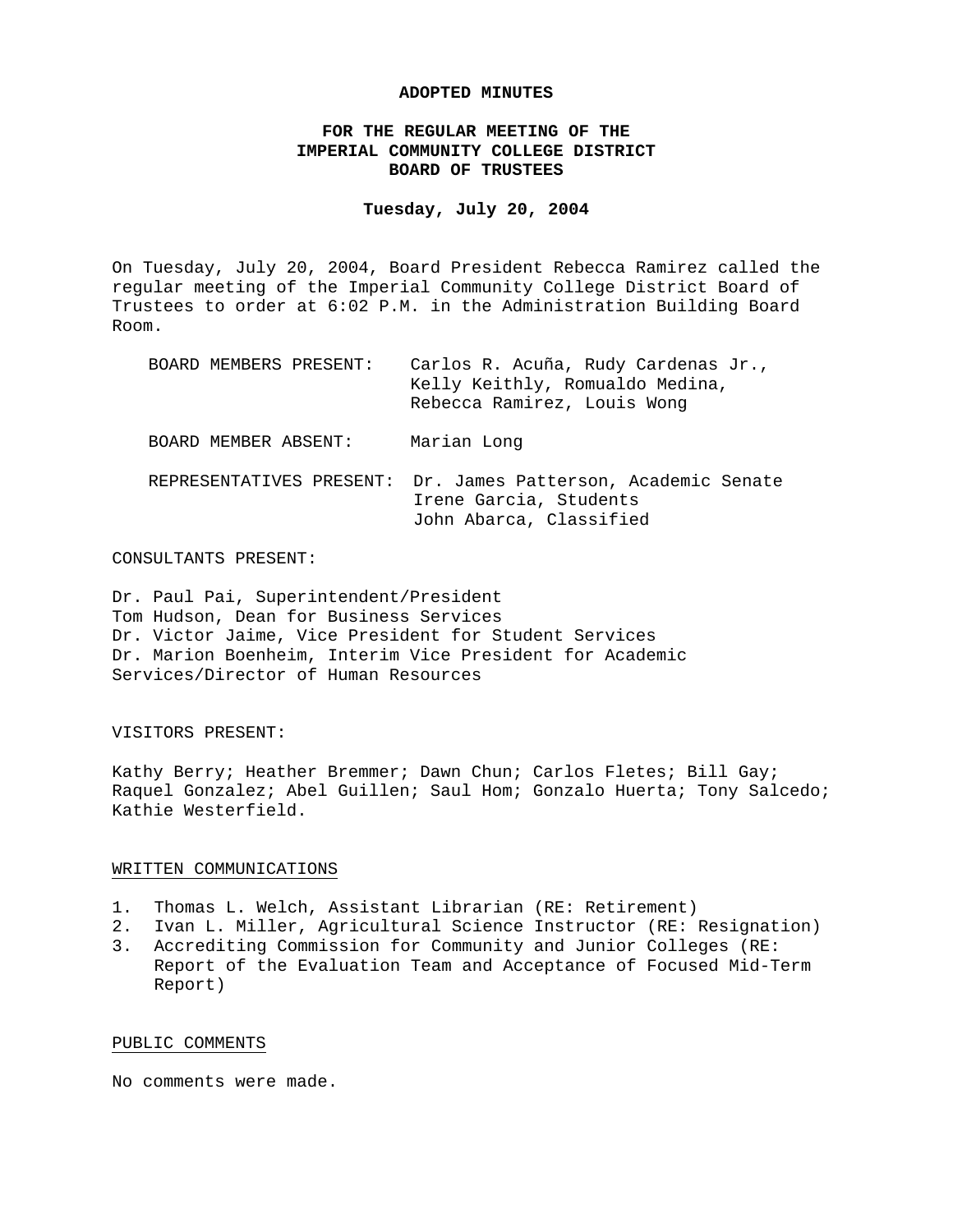### **ADOPTED MINUTES**

# **FOR THE REGULAR MEETING OF THE IMPERIAL COMMUNITY COLLEGE DISTRICT BOARD OF TRUSTEES**

### **Tuesday, July 20, 2004**

On Tuesday, July 20, 2004, Board President Rebecca Ramirez called the regular meeting of the Imperial Community College District Board of Trustees to order at 6:02 P.M. in the Administration Building Board Room.

| BOARD MEMBERS PRESENT:   | Carlos R. Acuña, Rudy Cardenas Jr.,<br>Kelly Keithly, Romualdo Medina,<br>Rebecca Ramirez, Louis Wong |
|--------------------------|-------------------------------------------------------------------------------------------------------|
| BOARD MEMBER ABSENT:     | Marian Long                                                                                           |
| REPRESENTATIVES PRESENT: | Dr. James Patterson, Academic Senate<br>Irene Garcia, Students<br>John Abarca, Classified             |

### CONSULTANTS PRESENT:

Dr. Paul Pai, Superintendent/President Tom Hudson, Dean for Business Services Dr. Victor Jaime, Vice President for Student Services Dr. Marion Boenheim, Interim Vice President for Academic Services/Director of Human Resources

## VISITORS PRESENT:

Kathy Berry; Heather Bremmer; Dawn Chun; Carlos Fletes; Bill Gay; Raquel Gonzalez; Abel Guillen; Saul Hom; Gonzalo Huerta; Tony Salcedo; Kathie Westerfield.

### WRITTEN COMMUNICATIONS

- 1. Thomas L. Welch, Assistant Librarian (RE: Retirement)
- 2. Ivan L. Miller, Agricultural Science Instructor (RE: Resignation)
- 3. Accrediting Commission for Community and Junior Colleges (RE: Report of the Evaluation Team and Acceptance of Focused Mid-Term Report)

## PUBLIC COMMENTS

No comments were made.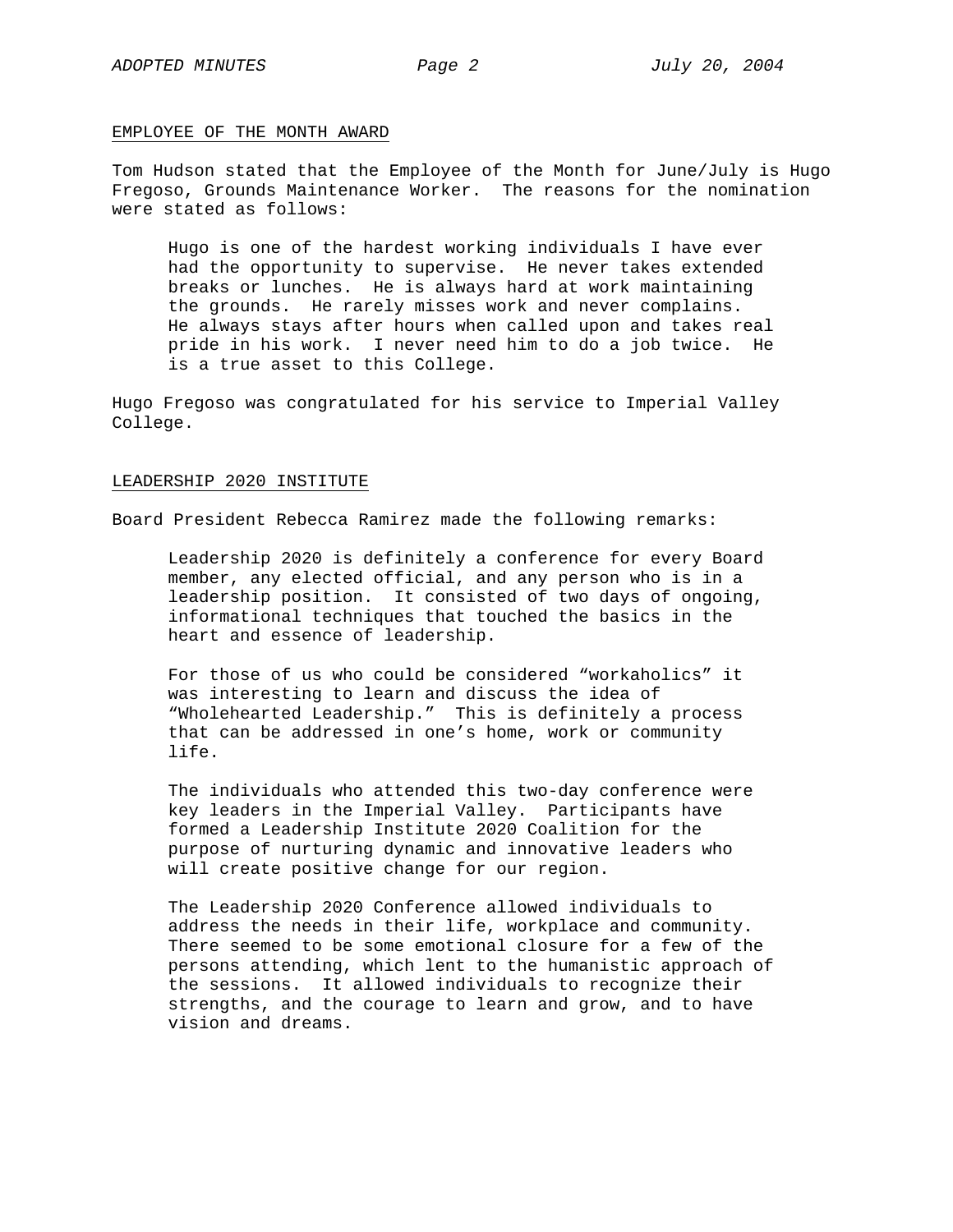## EMPLOYEE OF THE MONTH AWARD

Tom Hudson stated that the Employee of the Month for June/July is Hugo Fregoso, Grounds Maintenance Worker. The reasons for the nomination were stated as follows:

Hugo is one of the hardest working individuals I have ever had the opportunity to supervise. He never takes extended breaks or lunches. He is always hard at work maintaining the grounds. He rarely misses work and never complains. He always stays after hours when called upon and takes real pride in his work. I never need him to do a job twice. He is a true asset to this College.

Hugo Fregoso was congratulated for his service to Imperial Valley College.

## LEADERSHIP 2020 INSTITUTE

Board President Rebecca Ramirez made the following remarks:

Leadership 2020 is definitely a conference for every Board member, any elected official, and any person who is in a leadership position. It consisted of two days of ongoing, informational techniques that touched the basics in the heart and essence of leadership.

For those of us who could be considered "workaholics" it was interesting to learn and discuss the idea of "Wholehearted Leadership." This is definitely a process that can be addressed in one's home, work or community life.

The individuals who attended this two-day conference were key leaders in the Imperial Valley. Participants have formed a Leadership Institute 2020 Coalition for the purpose of nurturing dynamic and innovative leaders who will create positive change for our region.

The Leadership 2020 Conference allowed individuals to address the needs in their life, workplace and community. There seemed to be some emotional closure for a few of the persons attending, which lent to the humanistic approach of the sessions. It allowed individuals to recognize their strengths, and the courage to learn and grow, and to have vision and dreams.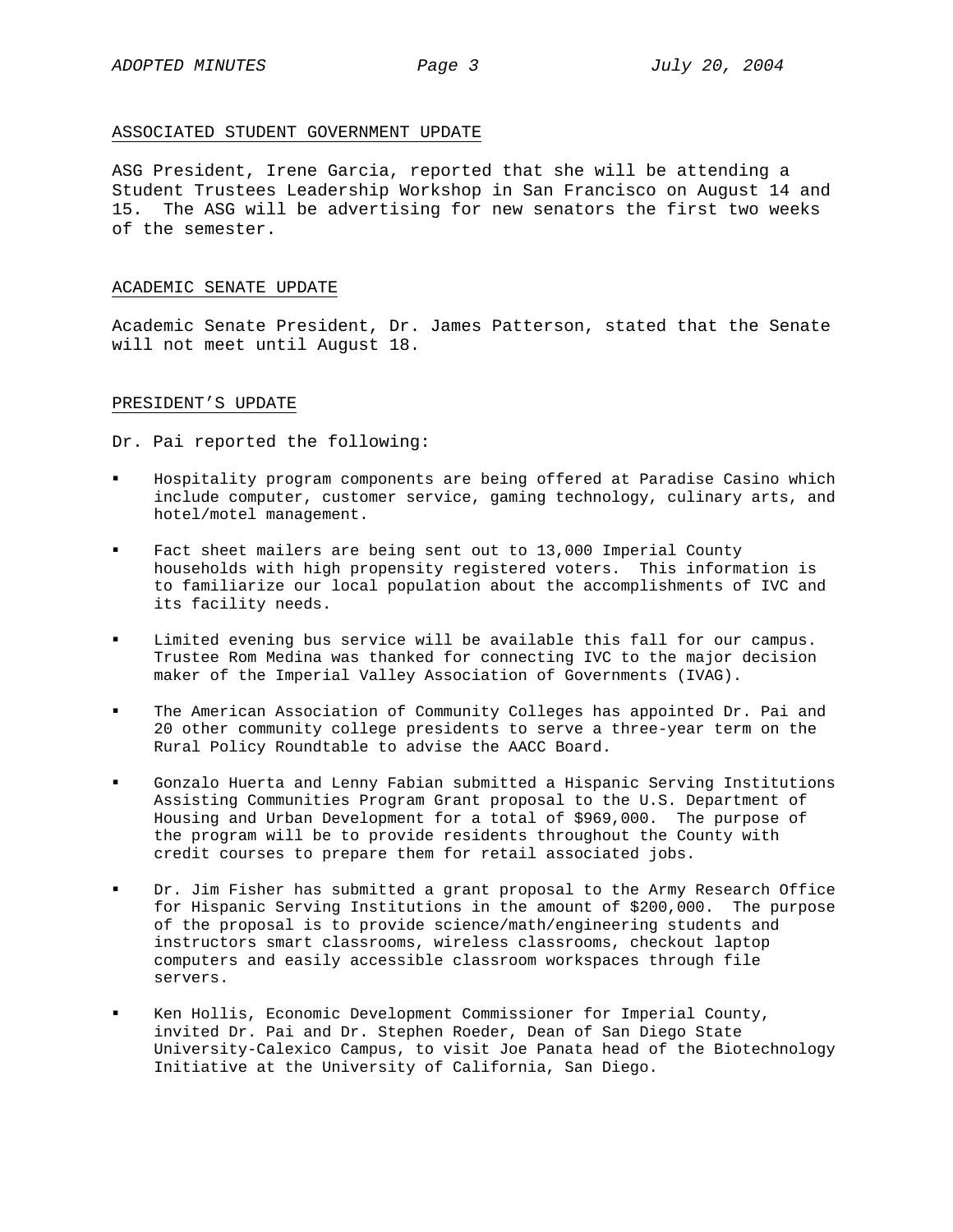## ASSOCIATED STUDENT GOVERNMENT UPDATE

ASG President, Irene Garcia, reported that she will be attending a Student Trustees Leadership Workshop in San Francisco on August 14 and 15. The ASG will be advertising for new senators the first two weeks of the semester.

## ACADEMIC SENATE UPDATE

Academic Senate President, Dr. James Patterson, stated that the Senate will not meet until August 18.

## PRESIDENT'S UPDATE

Dr. Pai reported the following:

- Hospitality program components are being offered at Paradise Casino which include computer, customer service, gaming technology, culinary arts, and hotel/motel management.
- Fact sheet mailers are being sent out to 13,000 Imperial County households with high propensity registered voters. This information is to familiarize our local population about the accomplishments of IVC and its facility needs.
- Limited evening bus service will be available this fall for our campus. Trustee Rom Medina was thanked for connecting IVC to the major decision maker of the Imperial Valley Association of Governments (IVAG).
- The American Association of Community Colleges has appointed Dr. Pai and 20 other community college presidents to serve a three-year term on the Rural Policy Roundtable to advise the AACC Board.
- Gonzalo Huerta and Lenny Fabian submitted a Hispanic Serving Institutions Assisting Communities Program Grant proposal to the U.S. Department of Housing and Urban Development for a total of \$969,000. The purpose of the program will be to provide residents throughout the County with credit courses to prepare them for retail associated jobs.
- Dr. Jim Fisher has submitted a grant proposal to the Army Research Office for Hispanic Serving Institutions in the amount of \$200,000. The purpose of the proposal is to provide science/math/engineering students and instructors smart classrooms, wireless classrooms, checkout laptop computers and easily accessible classroom workspaces through file servers.
- Ken Hollis, Economic Development Commissioner for Imperial County, invited Dr. Pai and Dr. Stephen Roeder, Dean of San Diego State University-Calexico Campus, to visit Joe Panata head of the Biotechnology Initiative at the University of California, San Diego.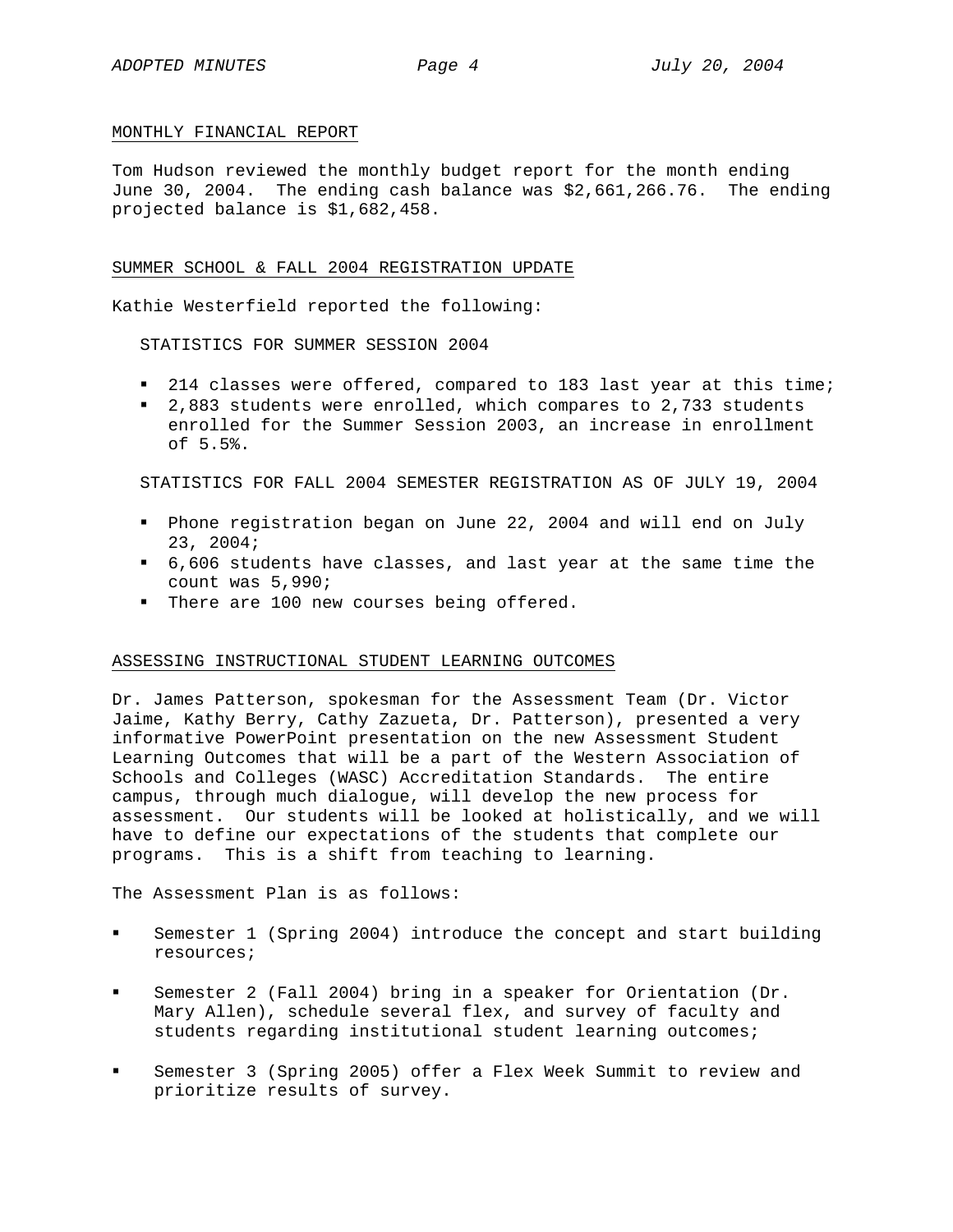# MONTHLY FINANCIAL REPORT

Tom Hudson reviewed the monthly budget report for the month ending June 30, 2004. The ending cash balance was \$2,661,266.76. The ending projected balance is \$1,682,458.

# SUMMER SCHOOL & FALL 2004 REGISTRATION UPDATE

Kathie Westerfield reported the following:

STATISTICS FOR SUMMER SESSION 2004

- **214 classes were offered, compared to 183 last year at this time;**
- 2,883 students were enrolled, which compares to 2,733 students enrolled for the Summer Session 2003, an increase in enrollment of 5.5%.

STATISTICS FOR FALL 2004 SEMESTER REGISTRATION AS OF JULY 19, 2004

- Phone registration began on June 22, 2004 and will end on July 23, 2004;
- 6,606 students have classes, and last year at the same time the count was 5,990;
- There are 100 new courses being offered.

# ASSESSING INSTRUCTIONAL STUDENT LEARNING OUTCOMES

Dr. James Patterson, spokesman for the Assessment Team (Dr. Victor Jaime, Kathy Berry, Cathy Zazueta, Dr. Patterson), presented a very informative PowerPoint presentation on the new Assessment Student Learning Outcomes that will be a part of the Western Association of Schools and Colleges (WASC) Accreditation Standards. The entire campus, through much dialogue, will develop the new process for assessment. Our students will be looked at holistically, and we will have to define our expectations of the students that complete our programs. This is a shift from teaching to learning.

The Assessment Plan is as follows:

- Semester 1 (Spring 2004) introduce the concept and start building resources;
- Semester 2 (Fall 2004) bring in a speaker for Orientation (Dr. Mary Allen), schedule several flex, and survey of faculty and students regarding institutional student learning outcomes;
- Semester 3 (Spring 2005) offer a Flex Week Summit to review and prioritize results of survey.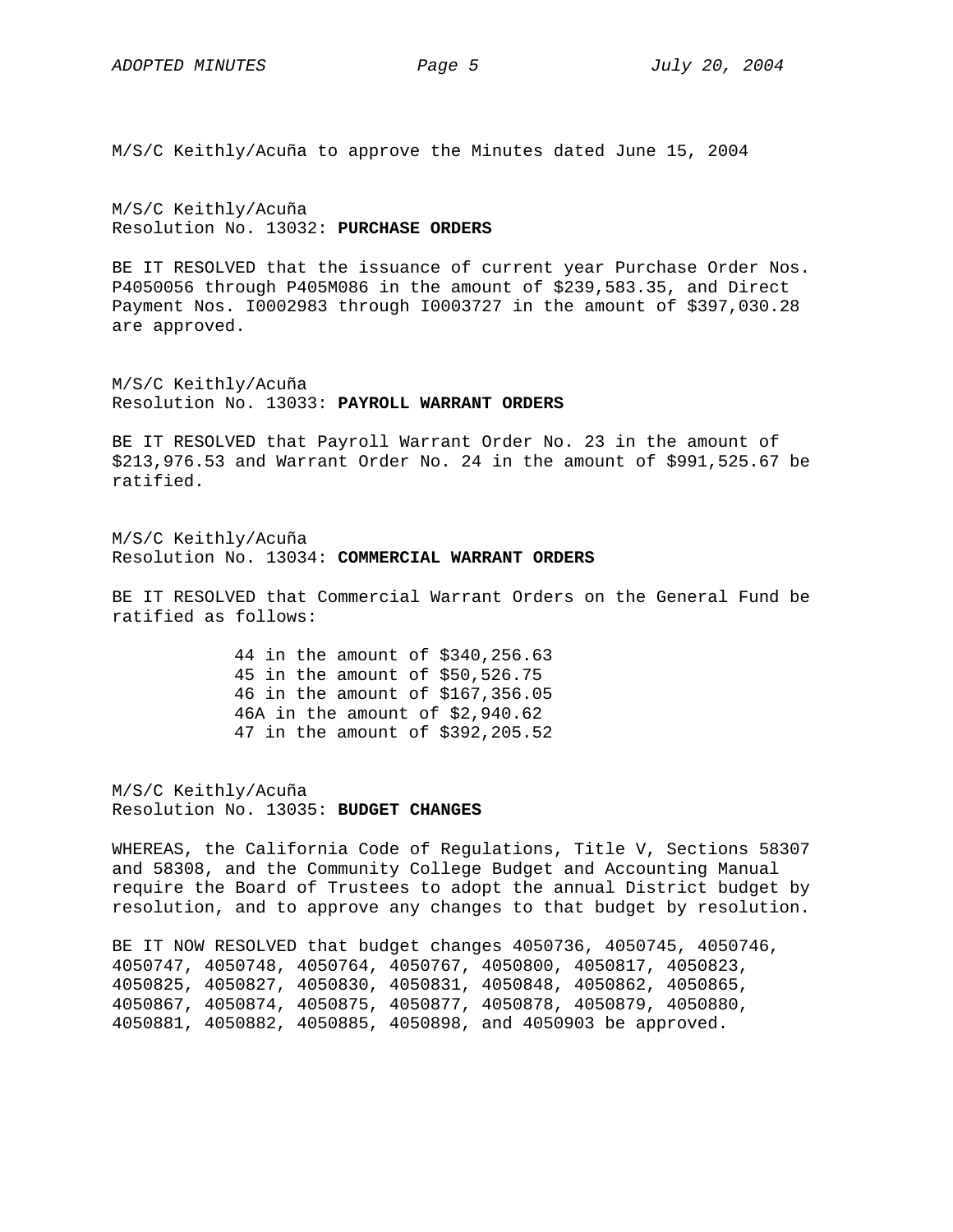M/S/C Keithly/Acuña to approve the Minutes dated June 15, 2004

M/S/C Keithly/Acuña Resolution No. 13032: **PURCHASE ORDERS**

BE IT RESOLVED that the issuance of current year Purchase Order Nos. P4050056 through P405M086 in the amount of \$239,583.35, and Direct Payment Nos. I0002983 through I0003727 in the amount of \$397,030.28 are approved.

M/S/C Keithly/Acuña Resolution No. 13033: **PAYROLL WARRANT ORDERS**

BE IT RESOLVED that Payroll Warrant Order No. 23 in the amount of \$213,976.53 and Warrant Order No. 24 in the amount of \$991,525.67 be ratified.

M/S/C Keithly/Acuña Resolution No. 13034: **COMMERCIAL WARRANT ORDERS**

BE IT RESOLVED that Commercial Warrant Orders on the General Fund be ratified as follows:

> 44 in the amount of \$340,256.63 45 in the amount of \$50,526.75 46 in the amount of \$167,356.05 46A in the amount of \$2,940.62 47 in the amount of \$392,205.52

M/S/C Keithly/Acuña Resolution No. 13035: **BUDGET CHANGES** 

WHEREAS, the California Code of Regulations, Title V, Sections 58307 and 58308, and the Community College Budget and Accounting Manual require the Board of Trustees to adopt the annual District budget by resolution, and to approve any changes to that budget by resolution.

BE IT NOW RESOLVED that budget changes 4050736, 4050745, 4050746, 4050747, 4050748, 4050764, 4050767, 4050800, 4050817, 4050823, 4050825, 4050827, 4050830, 4050831, 4050848, 4050862, 4050865, 4050867, 4050874, 4050875, 4050877, 4050878, 4050879, 4050880, 4050881, 4050882, 4050885, 4050898, and 4050903 be approved.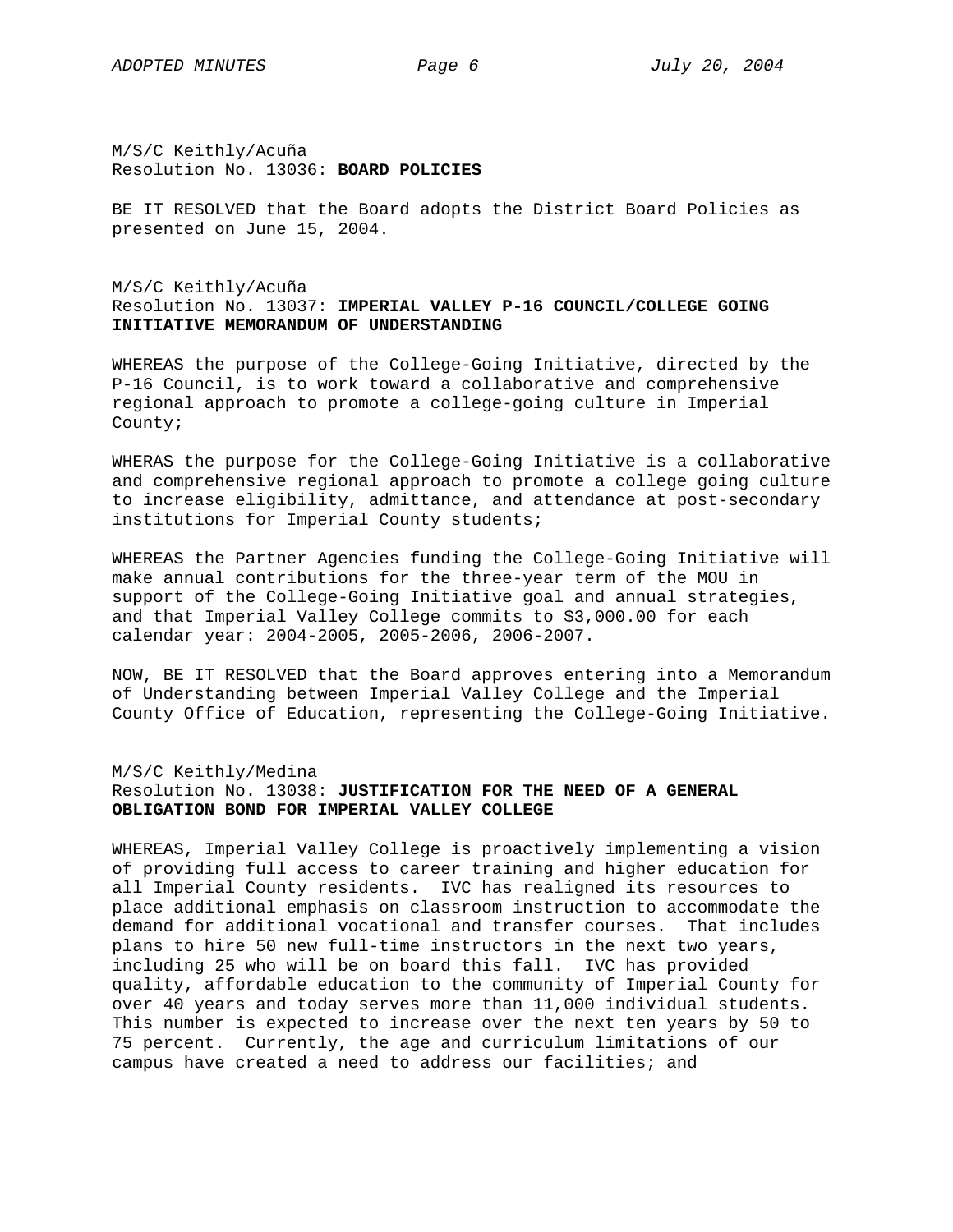M/S/C Keithly/Acuña Resolution No. 13036: **BOARD POLICIES**

BE IT RESOLVED that the Board adopts the District Board Policies as presented on June 15, 2004.

# M/S/C Keithly/Acuña Resolution No. 13037: **IMPERIAL VALLEY P-16 COUNCIL/COLLEGE GOING INITIATIVE MEMORANDUM OF UNDERSTANDING**

WHEREAS the purpose of the College-Going Initiative, directed by the P-16 Council, is to work toward a collaborative and comprehensive regional approach to promote a college-going culture in Imperial County;

WHERAS the purpose for the College-Going Initiative is a collaborative and comprehensive regional approach to promote a college going culture to increase eligibility, admittance, and attendance at post-secondary institutions for Imperial County students;

WHEREAS the Partner Agencies funding the College-Going Initiative will make annual contributions for the three-year term of the MOU in support of the College-Going Initiative goal and annual strategies, and that Imperial Valley College commits to \$3,000.00 for each calendar year: 2004-2005, 2005-2006, 2006-2007.

NOW, BE IT RESOLVED that the Board approves entering into a Memorandum of Understanding between Imperial Valley College and the Imperial County Office of Education, representing the College-Going Initiative.

M/S/C Keithly/Medina

# Resolution No. 13038: **JUSTIFICATION FOR THE NEED OF A GENERAL OBLIGATION BOND FOR IMPERIAL VALLEY COLLEGE**

WHEREAS, Imperial Valley College is proactively implementing a vision of providing full access to career training and higher education for all Imperial County residents. IVC has realigned its resources to place additional emphasis on classroom instruction to accommodate the demand for additional vocational and transfer courses. That includes plans to hire 50 new full-time instructors in the next two years, including 25 who will be on board this fall. IVC has provided quality, affordable education to the community of Imperial County for over 40 years and today serves more than 11,000 individual students. This number is expected to increase over the next ten years by 50 to 75 percent. Currently, the age and curriculum limitations of our campus have created a need to address our facilities; and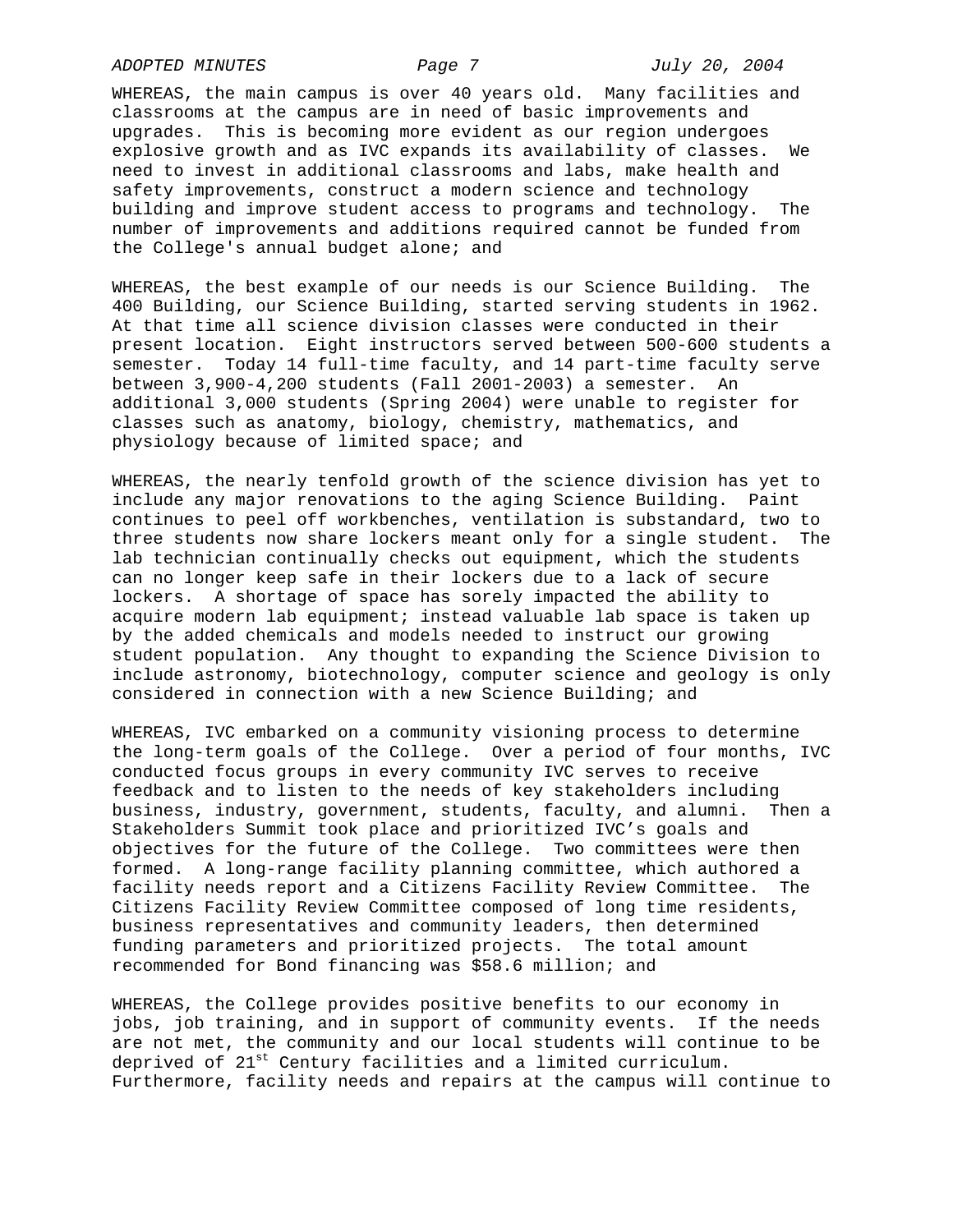*ADOPTED MINUTES Page 7 July 20, 2004* 

WHEREAS, the main campus is over 40 years old. Many facilities and classrooms at the campus are in need of basic improvements and upgrades. This is becoming more evident as our region undergoes explosive growth and as IVC expands its availability of classes. We need to invest in additional classrooms and labs, make health and safety improvements, construct a modern science and technology building and improve student access to programs and technology. The number of improvements and additions required cannot be funded from the College's annual budget alone; and

WHEREAS, the best example of our needs is our Science Building. The 400 Building, our Science Building, started serving students in 1962. At that time all science division classes were conducted in their present location. Eight instructors served between 500-600 students a semester. Today 14 full-time faculty, and 14 part-time faculty serve between 3,900-4,200 students (Fall 2001-2003) a semester. An additional 3,000 students (Spring 2004) were unable to register for classes such as anatomy, biology, chemistry, mathematics, and physiology because of limited space; and

WHEREAS, the nearly tenfold growth of the science division has yet to include any major renovations to the aging Science Building. Paint continues to peel off workbenches, ventilation is substandard, two to three students now share lockers meant only for a single student. The lab technician continually checks out equipment, which the students can no longer keep safe in their lockers due to a lack of secure lockers. A shortage of space has sorely impacted the ability to acquire modern lab equipment; instead valuable lab space is taken up by the added chemicals and models needed to instruct our growing student population. Any thought to expanding the Science Division to include astronomy, biotechnology, computer science and geology is only considered in connection with a new Science Building; and

WHEREAS, IVC embarked on a community visioning process to determine the long-term goals of the College. Over a period of four months, IVC conducted focus groups in every community IVC serves to receive feedback and to listen to the needs of key stakeholders including business, industry, government, students, faculty, and alumni. Then a Stakeholders Summit took place and prioritized IVC's goals and objectives for the future of the College. Two committees were then formed. A long-range facility planning committee, which authored a facility needs report and a Citizens Facility Review Committee. The Citizens Facility Review Committee composed of long time residents, business representatives and community leaders, then determined funding parameters and prioritized projects. The total amount recommended for Bond financing was \$58.6 million; and

WHEREAS, the College provides positive benefits to our economy in jobs, job training, and in support of community events. If the needs are not met, the community and our local students will continue to be deprived of 21<sup>st</sup> Century facilities and a limited curriculum. Furthermore, facility needs and repairs at the campus will continue to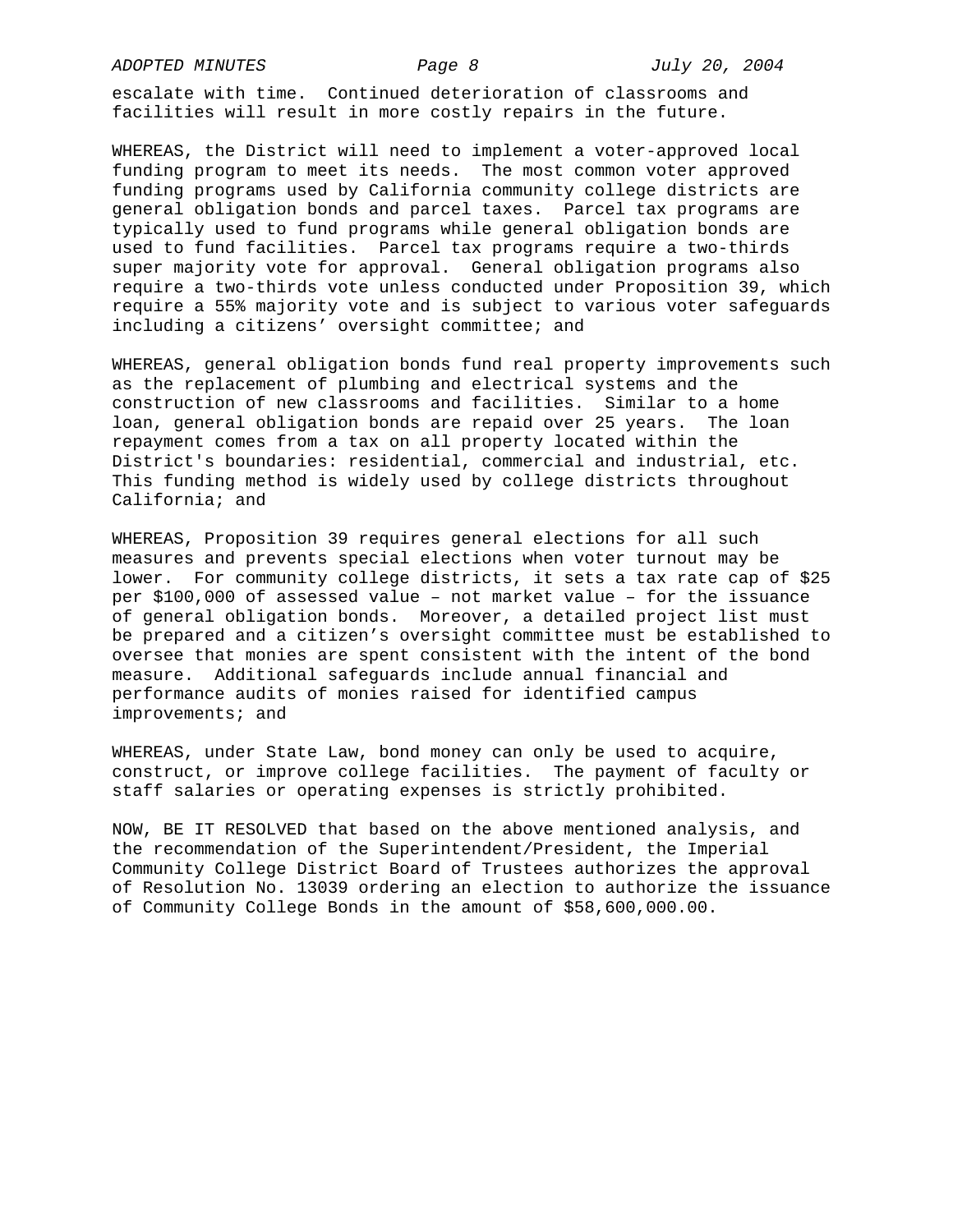*ADOPTED MINUTES Page 8 July 20, 2004* 

escalate with time. Continued deterioration of classrooms and facilities will result in more costly repairs in the future.

WHEREAS, the District will need to implement a voter-approved local funding program to meet its needs. The most common voter approved funding programs used by California community college districts are general obligation bonds and parcel taxes. Parcel tax programs are typically used to fund programs while general obligation bonds are used to fund facilities. Parcel tax programs require a two-thirds super majority vote for approval. General obligation programs also require a two-thirds vote unless conducted under Proposition 39, which require a 55% majority vote and is subject to various voter safeguards including a citizens' oversight committee; and

WHEREAS, general obligation bonds fund real property improvements such as the replacement of plumbing and electrical systems and the construction of new classrooms and facilities. Similar to a home loan, general obligation bonds are repaid over 25 years. The loan repayment comes from a tax on all property located within the District's boundaries: residential, commercial and industrial, etc. This funding method is widely used by college districts throughout California; and

WHEREAS, Proposition 39 requires general elections for all such measures and prevents special elections when voter turnout may be lower. For community college districts, it sets a tax rate cap of \$25 per \$100,000 of assessed value – not market value – for the issuance of general obligation bonds. Moreover, a detailed project list must be prepared and a citizen's oversight committee must be established to oversee that monies are spent consistent with the intent of the bond measure. Additional safeguards include annual financial and performance audits of monies raised for identified campus improvements; and

WHEREAS, under State Law, bond money can only be used to acquire, construct, or improve college facilities. The payment of faculty or staff salaries or operating expenses is strictly prohibited.

NOW, BE IT RESOLVED that based on the above mentioned analysis, and the recommendation of the Superintendent/President, the Imperial Community College District Board of Trustees authorizes the approval of Resolution No. 13039 ordering an election to authorize the issuance of Community College Bonds in the amount of \$58,600,000.00.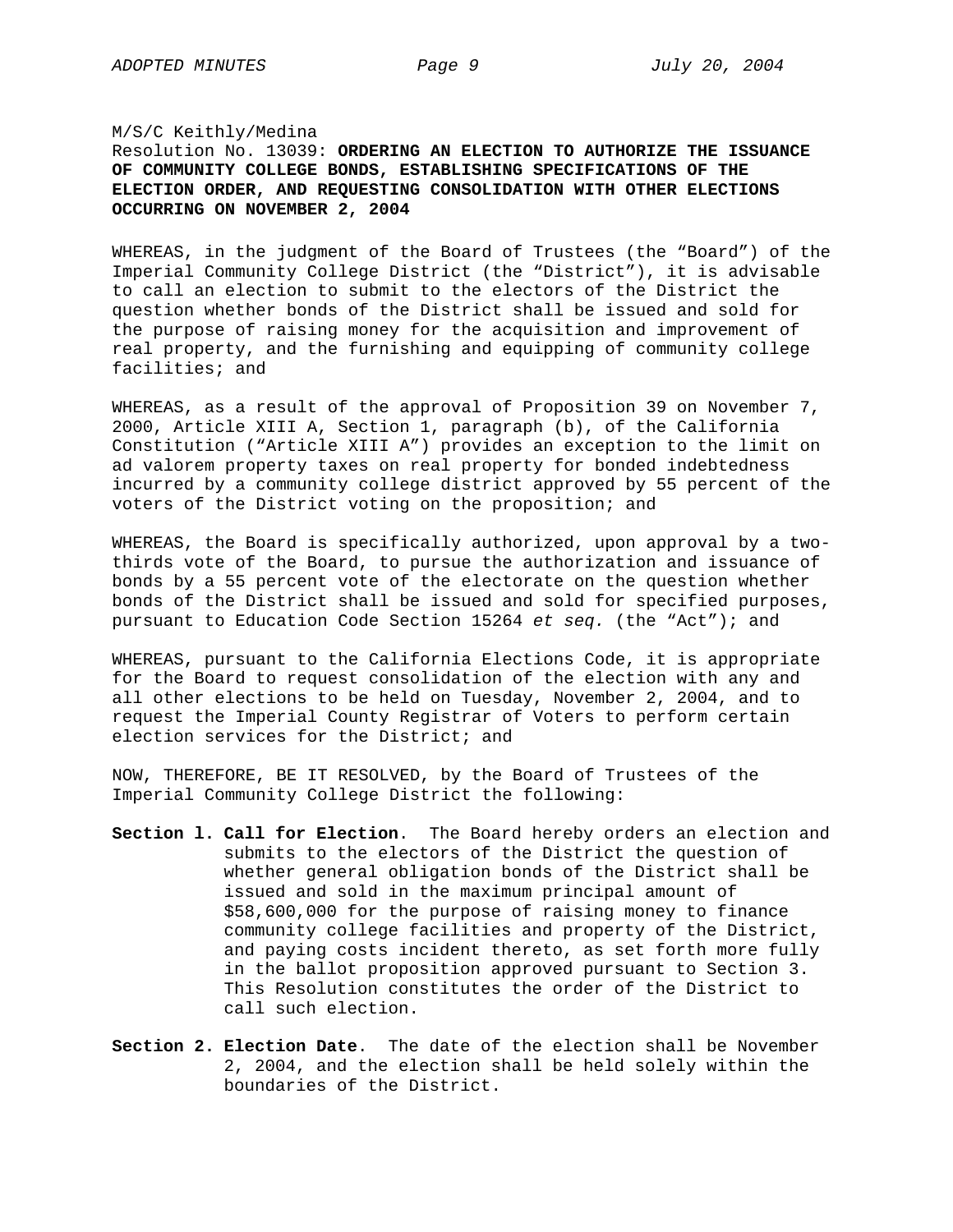## M/S/C Keithly/Medina

# Resolution No. 13039: **ORDERING AN ELECTION TO AUTHORIZE THE ISSUANCE OF COMMUNITY COLLEGE BONDS, ESTABLISHING SPECIFICATIONS OF THE ELECTION ORDER, AND REQUESTING CONSOLIDATION WITH OTHER ELECTIONS OCCURRING ON NOVEMBER 2, 2004**

WHEREAS, in the judgment of the Board of Trustees (the "Board") of the Imperial Community College District (the "District"), it is advisable to call an election to submit to the electors of the District the question whether bonds of the District shall be issued and sold for the purpose of raising money for the acquisition and improvement of real property, and the furnishing and equipping of community college facilities; and

WHEREAS, as a result of the approval of Proposition 39 on November 7, 2000, Article XIII A, Section 1, paragraph (b), of the California Constitution ("Article XIII A") provides an exception to the limit on ad valorem property taxes on real property for bonded indebtedness incurred by a community college district approved by 55 percent of the voters of the District voting on the proposition; and

WHEREAS, the Board is specifically authorized, upon approval by a twothirds vote of the Board, to pursue the authorization and issuance of bonds by a 55 percent vote of the electorate on the question whether bonds of the District shall be issued and sold for specified purposes, pursuant to Education Code Section 15264 *et seq.* (the "Act"); and

WHEREAS, pursuant to the California Elections Code, it is appropriate for the Board to request consolidation of the election with any and all other elections to be held on Tuesday, November 2, 2004, and to request the Imperial County Registrar of Voters to perform certain election services for the District; and

NOW, THEREFORE, BE IT RESOLVED, by the Board of Trustees of the Imperial Community College District the following:

- **Section l. Call for Election**. The Board hereby orders an election and submits to the electors of the District the question of whether general obligation bonds of the District shall be issued and sold in the maximum principal amount of \$58,600,000 for the purpose of raising money to finance community college facilities and property of the District, and paying costs incident thereto, as set forth more fully in the ballot proposition approved pursuant to Section 3. This Resolution constitutes the order of the District to call such election.
- **Section 2. Election Date**. The date of the election shall be November 2, 2004, and the election shall be held solely within the boundaries of the District.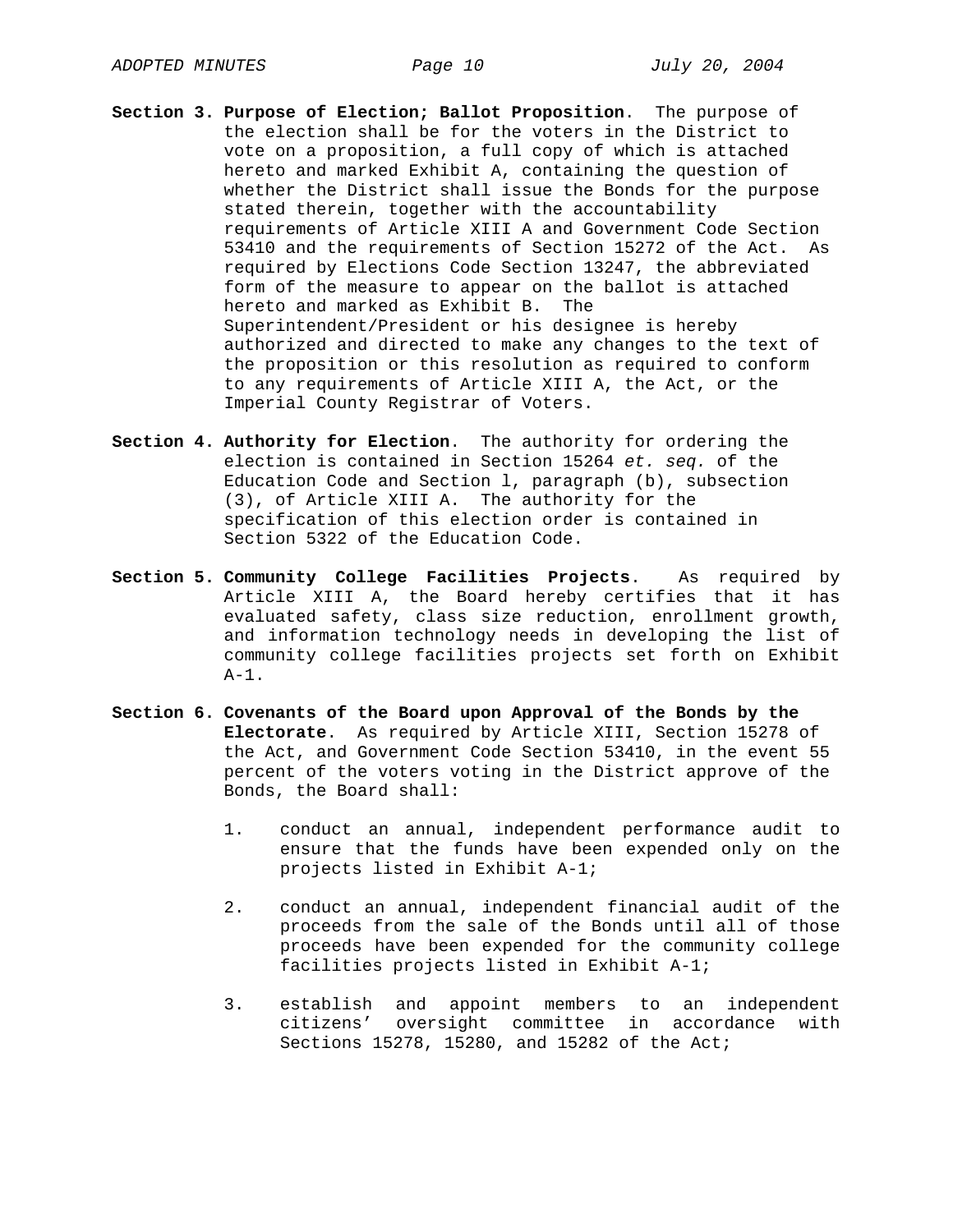- **Section 3. Purpose of Election; Ballot Proposition**. The purpose of the election shall be for the voters in the District to vote on a proposition, a full copy of which is attached hereto and marked Exhibit A, containing the question of whether the District shall issue the Bonds for the purpose stated therein, together with the accountability requirements of Article XIII A and Government Code Section 53410 and the requirements of Section 15272 of the Act. As required by Elections Code Section 13247, the abbreviated form of the measure to appear on the ballot is attached hereto and marked as Exhibit B. The Superintendent/President or his designee is hereby authorized and directed to make any changes to the text of the proposition or this resolution as required to conform to any requirements of Article XIII A, the Act, or the Imperial County Registrar of Voters.
- **Section 4. Authority for Election**. The authority for ordering the election is contained in Section 15264 *et. seq.* of the Education Code and Section l, paragraph (b), subsection (3), of Article XIII A. The authority for the specification of this election order is contained in Section 5322 of the Education Code.
- **Section 5. Community College Facilities Projects**. As required by Article XIII A, the Board hereby certifies that it has evaluated safety, class size reduction, enrollment growth, and information technology needs in developing the list of community college facilities projects set forth on Exhibit  $A-1$ .
- **Section 6. Covenants of the Board upon Approval of the Bonds by the Electorate**. As required by Article XIII, Section 15278 of the Act, and Government Code Section 53410, in the event 55 percent of the voters voting in the District approve of the Bonds, the Board shall:
	- 1. conduct an annual, independent performance audit to ensure that the funds have been expended only on the projects listed in Exhibit A-1;
	- 2. conduct an annual, independent financial audit of the proceeds from the sale of the Bonds until all of those proceeds have been expended for the community college facilities projects listed in Exhibit A-1;
	- 3. establish and appoint members to an independent citizens' oversight committee in accordance with Sections 15278, 15280, and 15282 of the Act;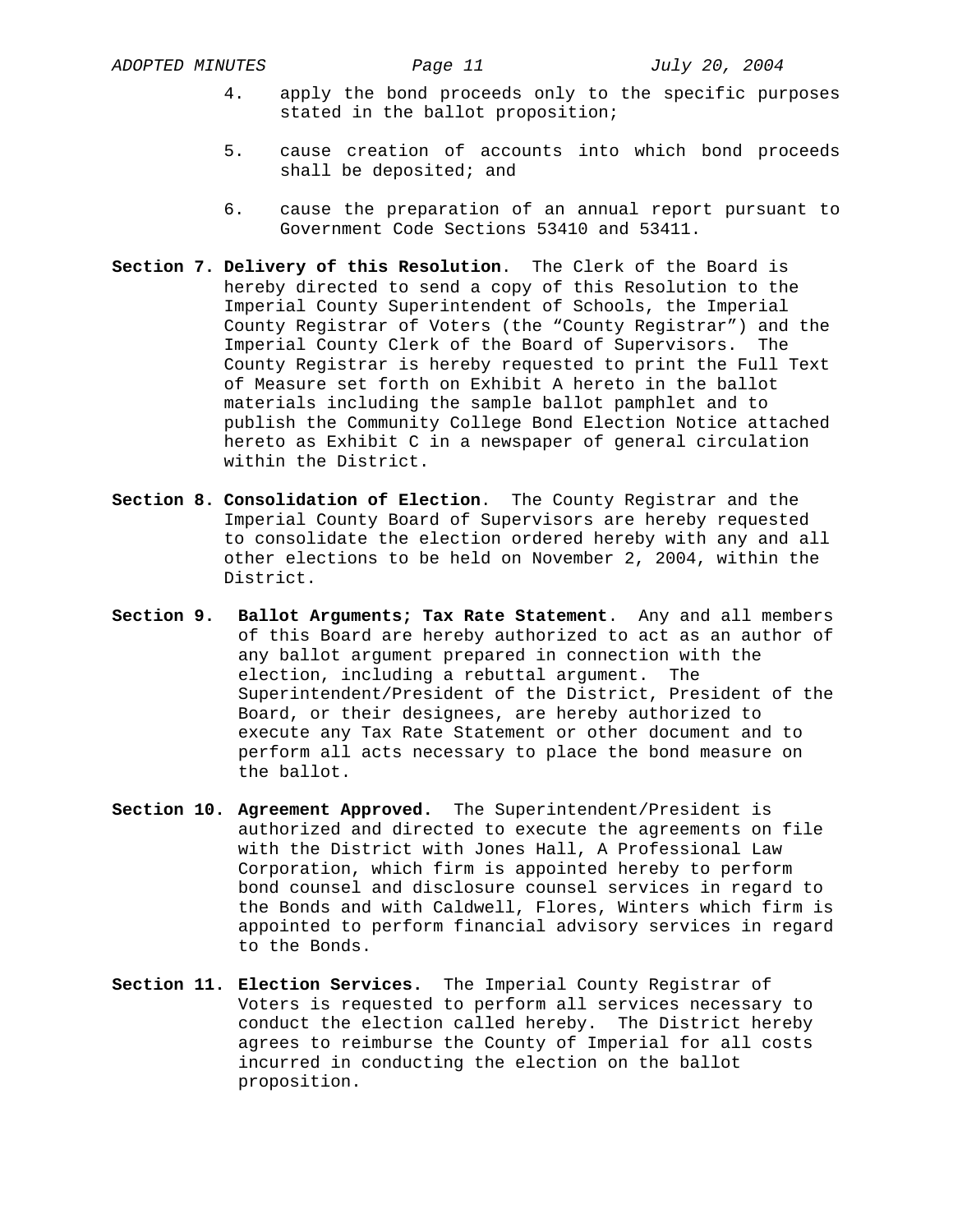- 4. apply the bond proceeds only to the specific purposes stated in the ballot proposition;
- 5. cause creation of accounts into which bond proceeds shall be deposited; and
- 6. cause the preparation of an annual report pursuant to Government Code Sections 53410 and 53411.
- **Section 7. Delivery of this Resolution**. The Clerk of the Board is hereby directed to send a copy of this Resolution to the Imperial County Superintendent of Schools, the Imperial County Registrar of Voters (the "County Registrar") and the Imperial County Clerk of the Board of Supervisors. The County Registrar is hereby requested to print the Full Text of Measure set forth on Exhibit A hereto in the ballot materials including the sample ballot pamphlet and to publish the Community College Bond Election Notice attached hereto as Exhibit C in a newspaper of general circulation within the District.
- **Section 8. Consolidation of Election**. The County Registrar and the Imperial County Board of Supervisors are hereby requested to consolidate the election ordered hereby with any and all other elections to be held on November 2, 2004, within the District.
- **Section 9. Ballot Arguments; Tax Rate Statement**. Any and all members of this Board are hereby authorized to act as an author of any ballot argument prepared in connection with the election, including a rebuttal argument. The Superintendent/President of the District, President of the Board, or their designees, are hereby authorized to execute any Tax Rate Statement or other document and to perform all acts necessary to place the bond measure on the ballot.
- **Section 10. Agreement Approved.** The Superintendent/President is authorized and directed to execute the agreements on file with the District with Jones Hall, A Professional Law Corporation, which firm is appointed hereby to perform bond counsel and disclosure counsel services in regard to the Bonds and with Caldwell, Flores, Winters which firm is appointed to perform financial advisory services in regard to the Bonds.
- **Section 11. Election Services.** The Imperial County Registrar of Voters is requested to perform all services necessary to conduct the election called hereby. The District hereby agrees to reimburse the County of Imperial for all costs incurred in conducting the election on the ballot proposition.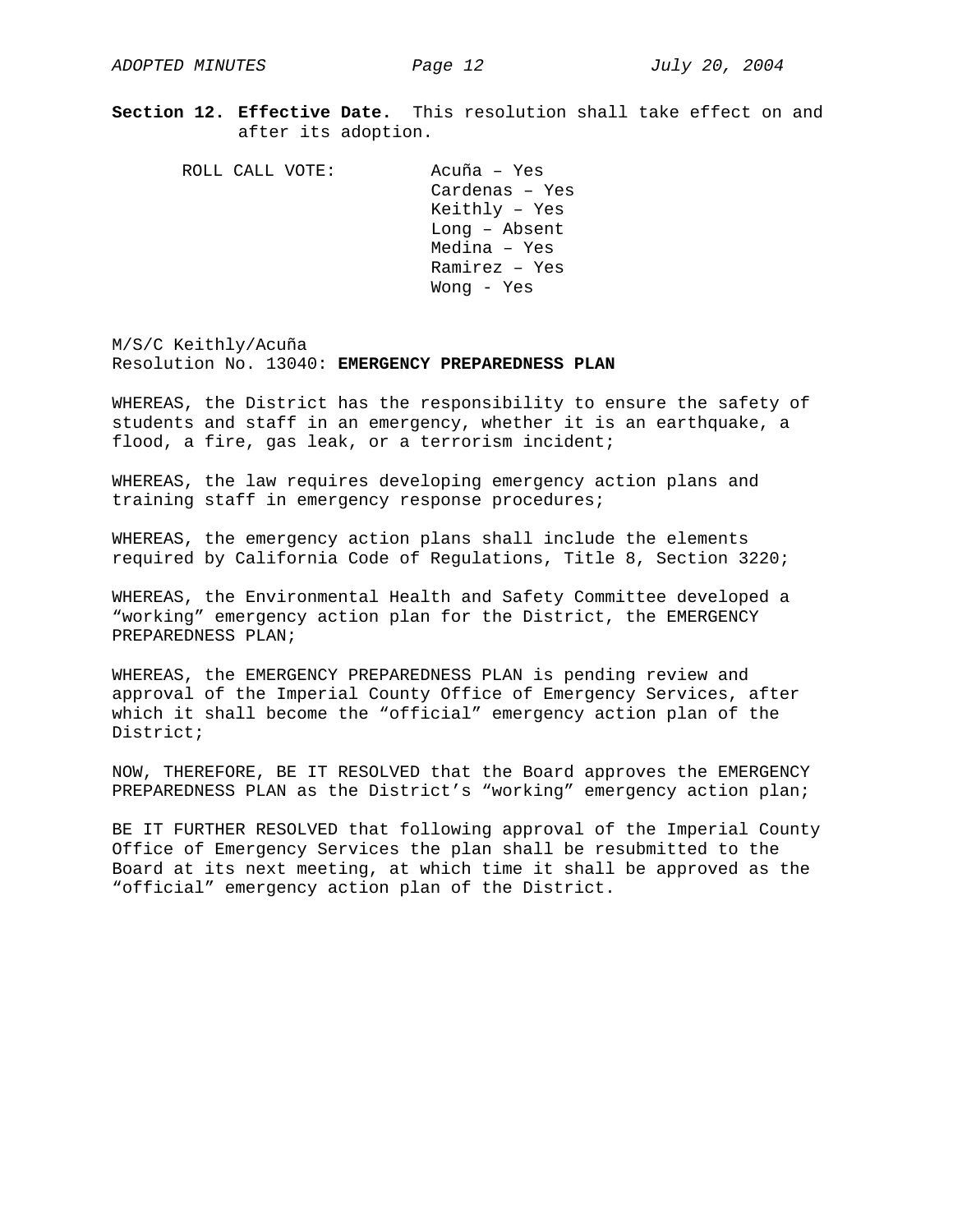**Section 12. Effective Date.** This resolution shall take effect on and after its adoption.

 ROLL CALL VOTE: Acuña – Yes Cardenas – Yes Keithly – Yes Long – Absent Medina – Yes Ramirez – Yes Wong - Yes

M/S/C Keithly/Acuña Resolution No. 13040: **EMERGENCY PREPAREDNESS PLAN**

WHEREAS, the District has the responsibility to ensure the safety of students and staff in an emergency, whether it is an earthquake, a flood, a fire, gas leak, or a terrorism incident;

WHEREAS, the law requires developing emergency action plans and training staff in emergency response procedures;

WHEREAS, the emergency action plans shall include the elements required by California Code of Regulations, Title 8, Section 3220;

WHEREAS, the Environmental Health and Safety Committee developed a "working" emergency action plan for the District, the EMERGENCY PREPAREDNESS PLAN;

WHEREAS, the EMERGENCY PREPAREDNESS PLAN is pending review and approval of the Imperial County Office of Emergency Services, after which it shall become the "official" emergency action plan of the District;

NOW, THEREFORE, BE IT RESOLVED that the Board approves the EMERGENCY PREPAREDNESS PLAN as the District's "working" emergency action plan;

BE IT FURTHER RESOLVED that following approval of the Imperial County Office of Emergency Services the plan shall be resubmitted to the Board at its next meeting, at which time it shall be approved as the "official" emergency action plan of the District.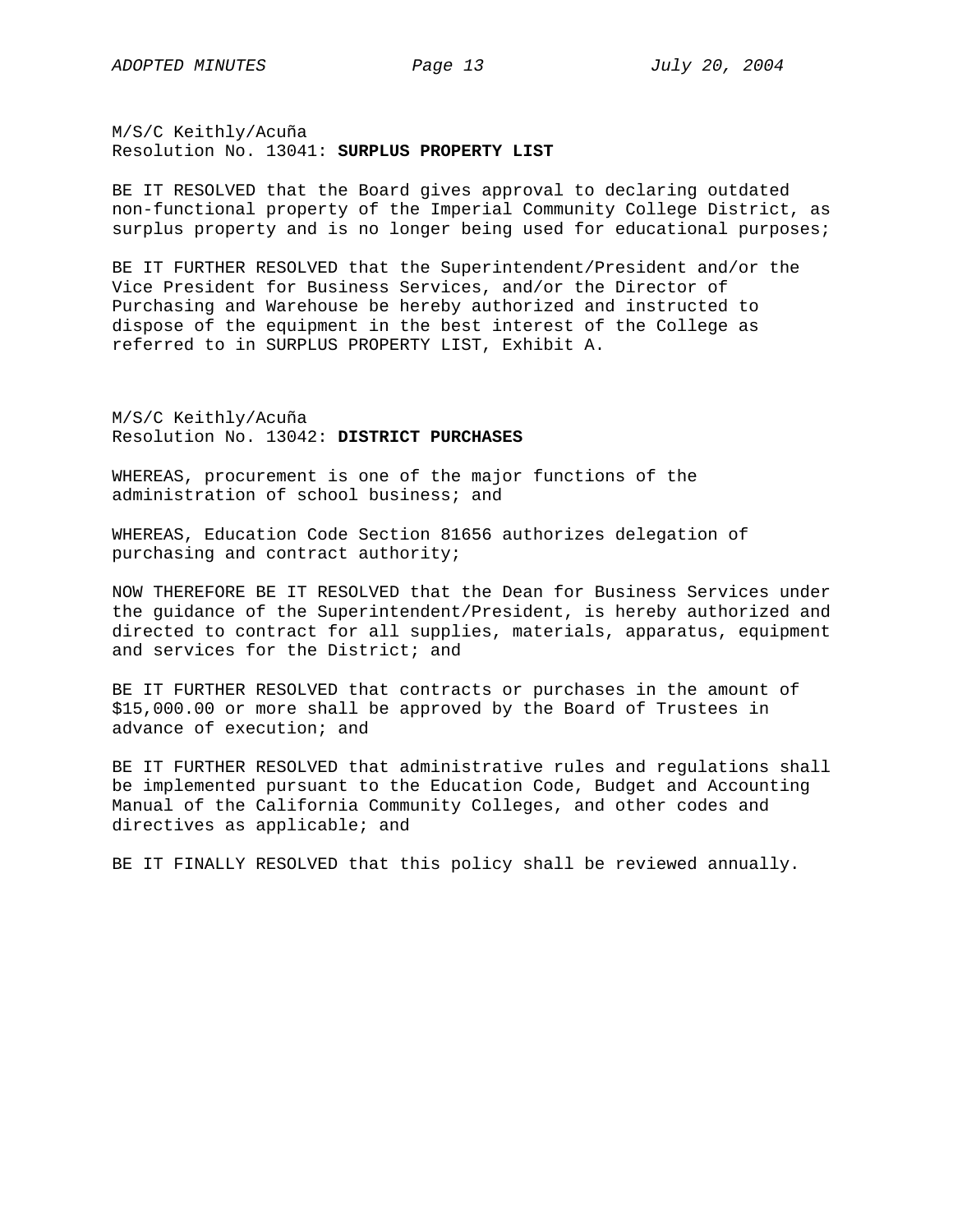M/S/C Keithly/Acuña Resolution No. 13041: **SURPLUS PROPERTY LIST** 

BE IT RESOLVED that the Board gives approval to declaring outdated non-functional property of the Imperial Community College District, as surplus property and is no longer being used for educational purposes;

BE IT FURTHER RESOLVED that the Superintendent/President and/or the Vice President for Business Services, and/or the Director of Purchasing and Warehouse be hereby authorized and instructed to dispose of the equipment in the best interest of the College as referred to in SURPLUS PROPERTY LIST, Exhibit A.

M/S/C Keithly/Acuña Resolution No. 13042: **DISTRICT PURCHASES** 

WHEREAS, procurement is one of the major functions of the administration of school business; and

WHEREAS, Education Code Section 81656 authorizes delegation of purchasing and contract authority;

NOW THEREFORE BE IT RESOLVED that the Dean for Business Services under the guidance of the Superintendent/President, is hereby authorized and directed to contract for all supplies, materials, apparatus, equipment and services for the District; and

BE IT FURTHER RESOLVED that contracts or purchases in the amount of \$15,000.00 or more shall be approved by the Board of Trustees in advance of execution; and

BE IT FURTHER RESOLVED that administrative rules and regulations shall be implemented pursuant to the Education Code, Budget and Accounting Manual of the California Community Colleges, and other codes and directives as applicable; and

BE IT FINALLY RESOLVED that this policy shall be reviewed annually.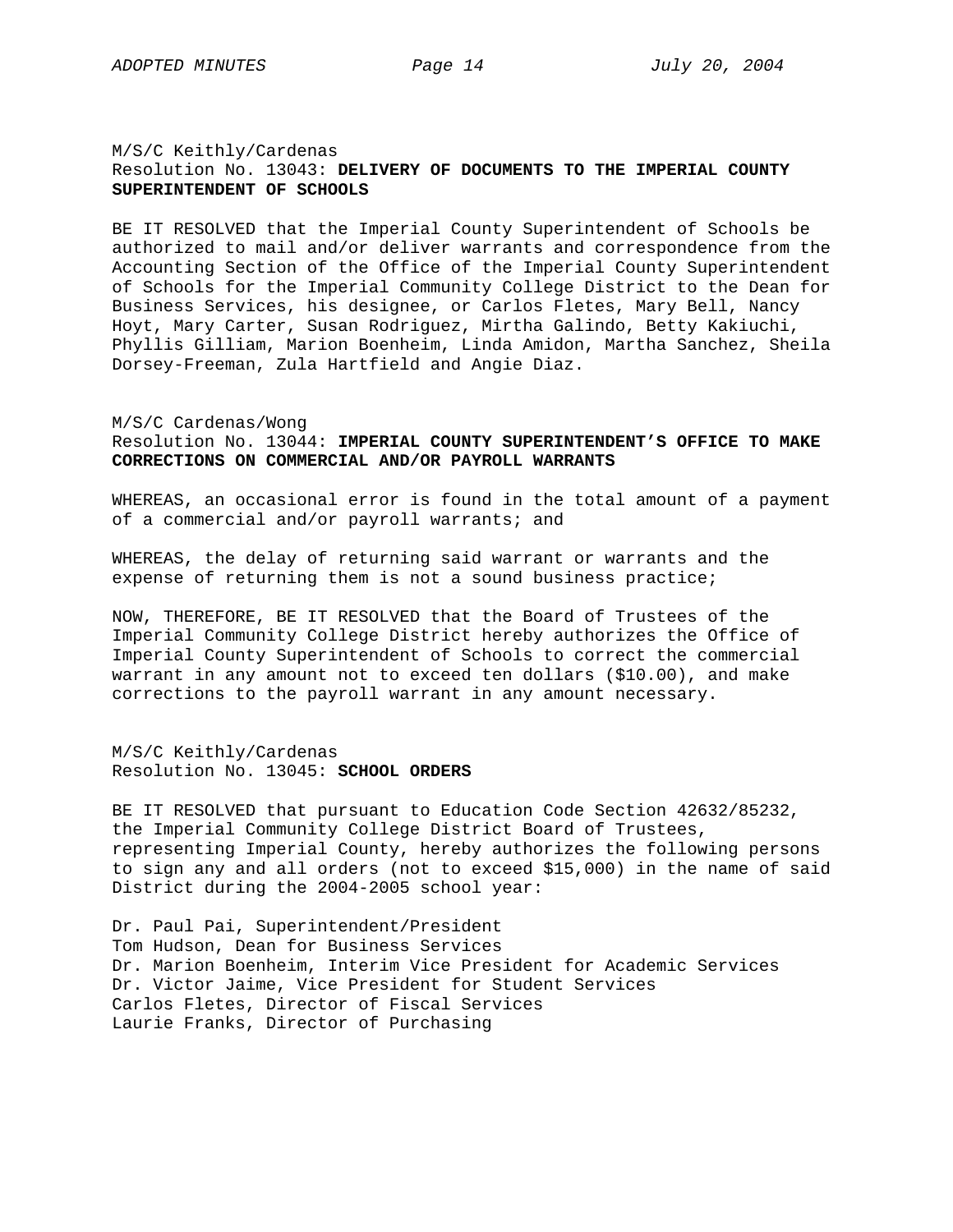# M/S/C Keithly/Cardenas Resolution No. 13043: **DELIVERY OF DOCUMENTS TO THE IMPERIAL COUNTY SUPERINTENDENT OF SCHOOLS**

BE IT RESOLVED that the Imperial County Superintendent of Schools be authorized to mail and/or deliver warrants and correspondence from the Accounting Section of the Office of the Imperial County Superintendent of Schools for the Imperial Community College District to the Dean for Business Services, his designee, or Carlos Fletes, Mary Bell, Nancy Hoyt, Mary Carter, Susan Rodriguez, Mirtha Galindo, Betty Kakiuchi, Phyllis Gilliam, Marion Boenheim, Linda Amidon, Martha Sanchez, Sheila Dorsey-Freeman, Zula Hartfield and Angie Diaz.

# M/S/C Cardenas/Wong Resolution No. 13044: **IMPERIAL COUNTY SUPERINTENDENT'S OFFICE TO MAKE CORRECTIONS ON COMMERCIAL AND/OR PAYROLL WARRANTS**

WHEREAS, an occasional error is found in the total amount of a payment of a commercial and/or payroll warrants; and

WHEREAS, the delay of returning said warrant or warrants and the expense of returning them is not a sound business practice;

NOW, THEREFORE, BE IT RESOLVED that the Board of Trustees of the Imperial Community College District hereby authorizes the Office of Imperial County Superintendent of Schools to correct the commercial warrant in any amount not to exceed ten dollars (\$10.00), and make corrections to the payroll warrant in any amount necessary.

M/S/C Keithly/Cardenas Resolution No. 13045: **SCHOOL ORDERS** 

BE IT RESOLVED that pursuant to Education Code Section 42632/85232, the Imperial Community College District Board of Trustees, representing Imperial County, hereby authorizes the following persons to sign any and all orders (not to exceed \$15,000) in the name of said District during the 2004-2005 school year:

Dr. Paul Pai, Superintendent/President Tom Hudson, Dean for Business Services Dr. Marion Boenheim, Interim Vice President for Academic Services Dr. Victor Jaime, Vice President for Student Services Carlos Fletes, Director of Fiscal Services Laurie Franks, Director of Purchasing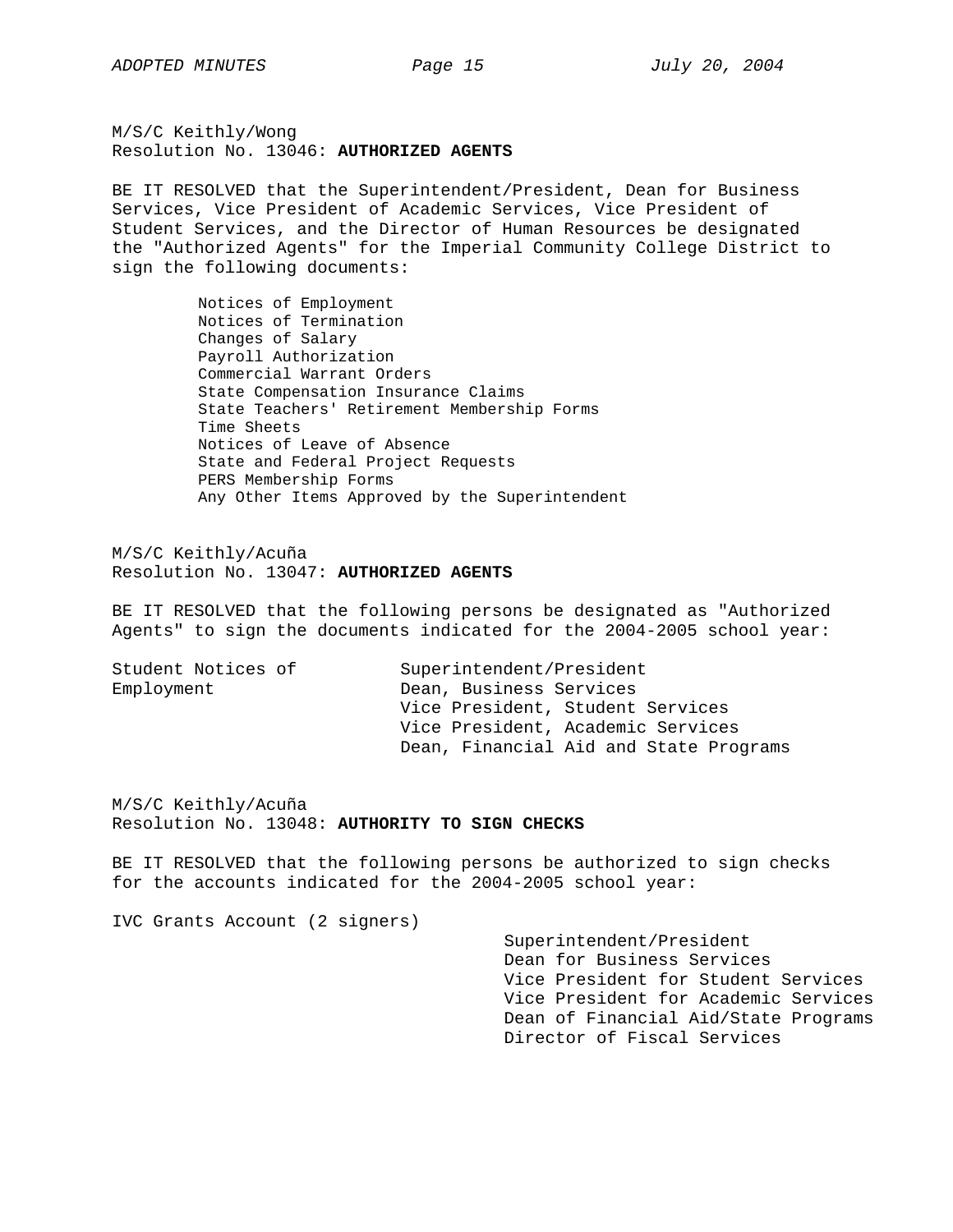M/S/C Keithly/Wong Resolution No. 13046: **AUTHORIZED AGENTS**

BE IT RESOLVED that the Superintendent/President, Dean for Business Services, Vice President of Academic Services, Vice President of Student Services, and the Director of Human Resources be designated the "Authorized Agents" for the Imperial Community College District to sign the following documents:

> Notices of Employment Notices of Termination Changes of Salary Payroll Authorization Commercial Warrant Orders State Compensation Insurance Claims State Teachers' Retirement Membership Forms Time Sheets Notices of Leave of Absence State and Federal Project Requests PERS Membership Forms Any Other Items Approved by the Superintendent

M/S/C Keithly/Acuña Resolution No. 13047: **AUTHORIZED AGENTS**

BE IT RESOLVED that the following persons be designated as "Authorized Agents" to sign the documents indicated for the 2004-2005 school year:

| Student Notices of | Superintendent/President               |
|--------------------|----------------------------------------|
| Employment         | Dean, Business Services                |
|                    | Vice President, Student Services       |
|                    | Vice President, Academic Services      |
|                    | Dean, Financial Aid and State Programs |

M/S/C Keithly/Acuña Resolution No. 13048: **AUTHORITY TO SIGN CHECKS** 

BE IT RESOLVED that the following persons be authorized to sign checks for the accounts indicated for the 2004-2005 school year:

IVC Grants Account (2 signers)

Superintendent/President Dean for Business Services Vice President for Student Services Vice President for Academic Services Dean of Financial Aid/State Programs Director of Fiscal Services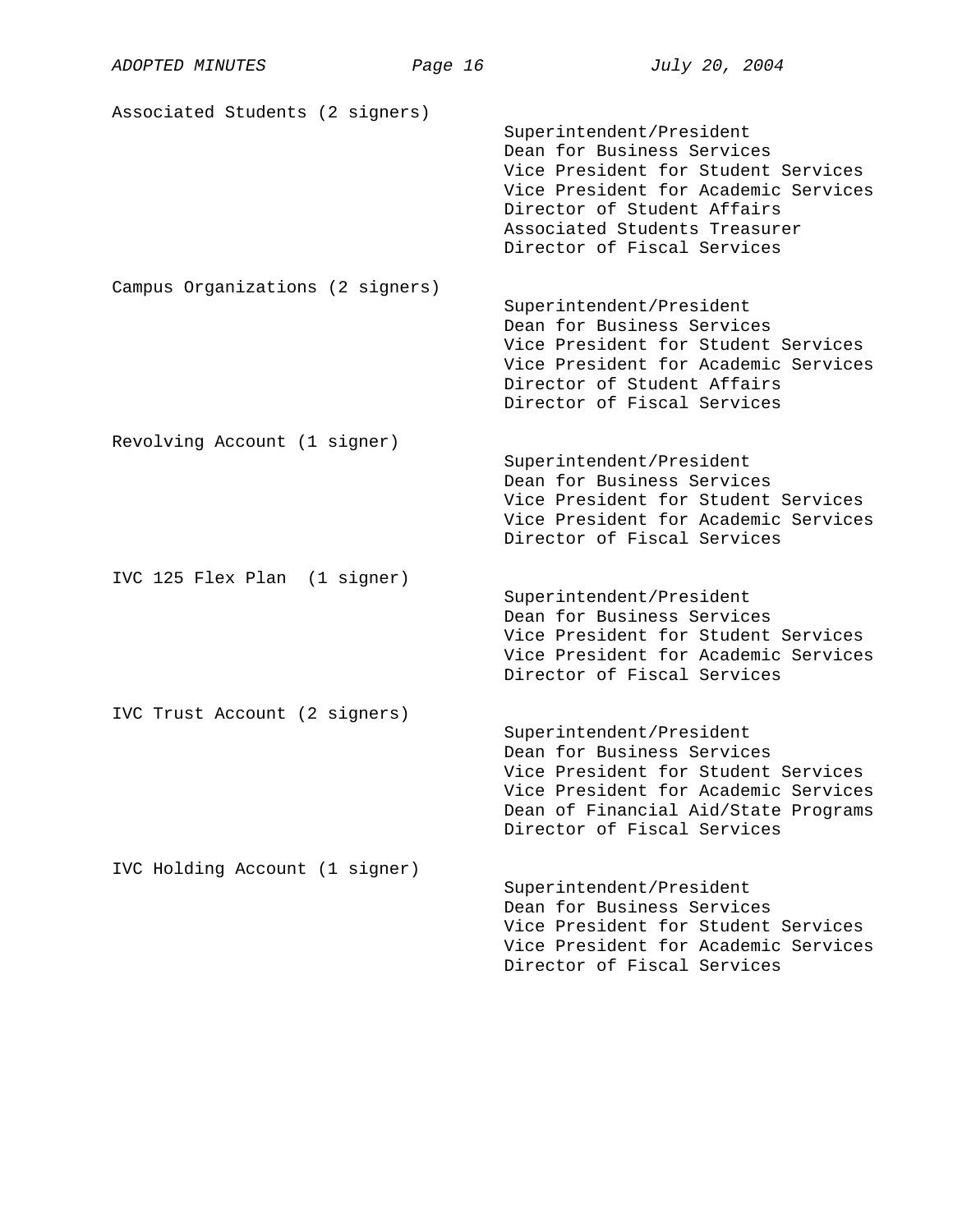| ADOPTED MINUTES                  | Page 16 | July 20, 2004                                                                                                                                                                                                                        |
|----------------------------------|---------|--------------------------------------------------------------------------------------------------------------------------------------------------------------------------------------------------------------------------------------|
| Associated Students (2 signers)  |         | Superintendent/President<br>Dean for Business Services<br>Vice President for Student Services<br>Vice President for Academic Services<br>Director of Student Affairs<br>Associated Students Treasurer<br>Director of Fiscal Services |
| Campus Organizations (2 signers) |         | Superintendent/President<br>Dean for Business Services<br>Vice President for Student Services<br>Vice President for Academic Services<br>Director of Student Affairs<br>Director of Fiscal Services                                  |
| Revolving Account (1 signer)     |         | Superintendent/President<br>Dean for Business Services<br>Vice President for Student Services<br>Vice President for Academic Services<br>Director of Fiscal Services                                                                 |
| IVC 125 Flex Plan (1 signer)     |         | Superintendent/President<br>Dean for Business Services<br>Vice President for Student Services<br>Vice President for Academic Services<br>Director of Fiscal Services                                                                 |
| IVC Trust Account (2 signers)    |         | Superintendent/President<br>Dean for Business Services<br>Vice President for Student Services<br>Vice President for Academic Services<br>Dean of Financial Aid/State Programs<br>Director of Fiscal Services                         |
| IVC Holding Account (1 signer)   |         | Superintendent/President<br>Dean for Business Services<br>Vice President for Student Services<br>Vice President for Academic Services<br>Director of Fiscal Services                                                                 |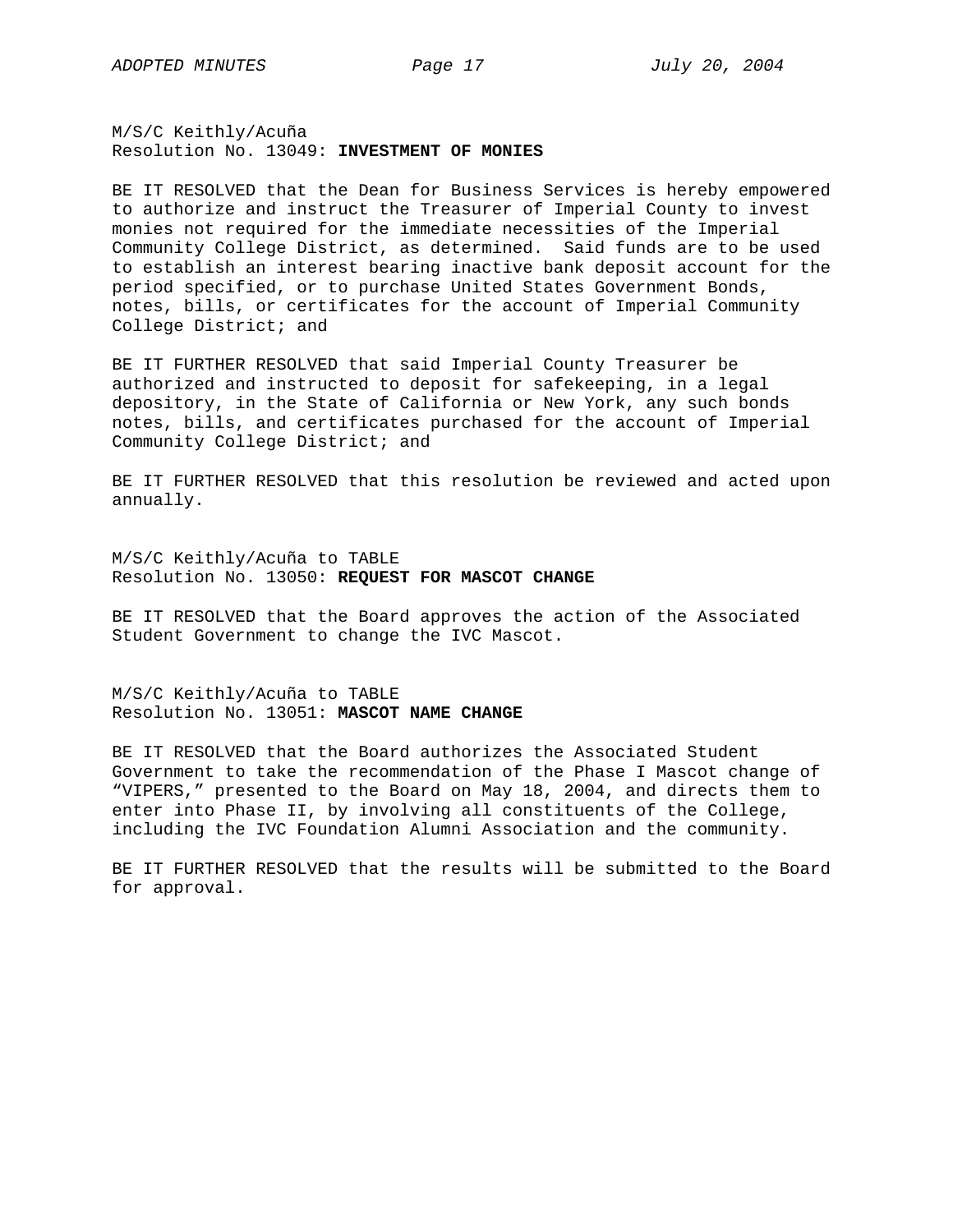M/S/C Keithly/Acuña Resolution No. 13049: **INVESTMENT OF MONIES** 

BE IT RESOLVED that the Dean for Business Services is hereby empowered to authorize and instruct the Treasurer of Imperial County to invest monies not required for the immediate necessities of the Imperial Community College District, as determined. Said funds are to be used to establish an interest bearing inactive bank deposit account for the period specified, or to purchase United States Government Bonds, notes, bills, or certificates for the account of Imperial Community College District; and

BE IT FURTHER RESOLVED that said Imperial County Treasurer be authorized and instructed to deposit for safekeeping, in a legal depository, in the State of California or New York, any such bonds notes, bills, and certificates purchased for the account of Imperial Community College District; and

BE IT FURTHER RESOLVED that this resolution be reviewed and acted upon annually.

M/S/C Keithly/Acuña to TABLE Resolution No. 13050: **REQUEST FOR MASCOT CHANGE** 

BE IT RESOLVED that the Board approves the action of the Associated Student Government to change the IVC Mascot.

M/S/C Keithly/Acuña to TABLE Resolution No. 13051: **MASCOT NAME CHANGE**

BE IT RESOLVED that the Board authorizes the Associated Student Government to take the recommendation of the Phase I Mascot change of "VIPERS," presented to the Board on May 18, 2004, and directs them to enter into Phase II, by involving all constituents of the College, including the IVC Foundation Alumni Association and the community.

BE IT FURTHER RESOLVED that the results will be submitted to the Board for approval.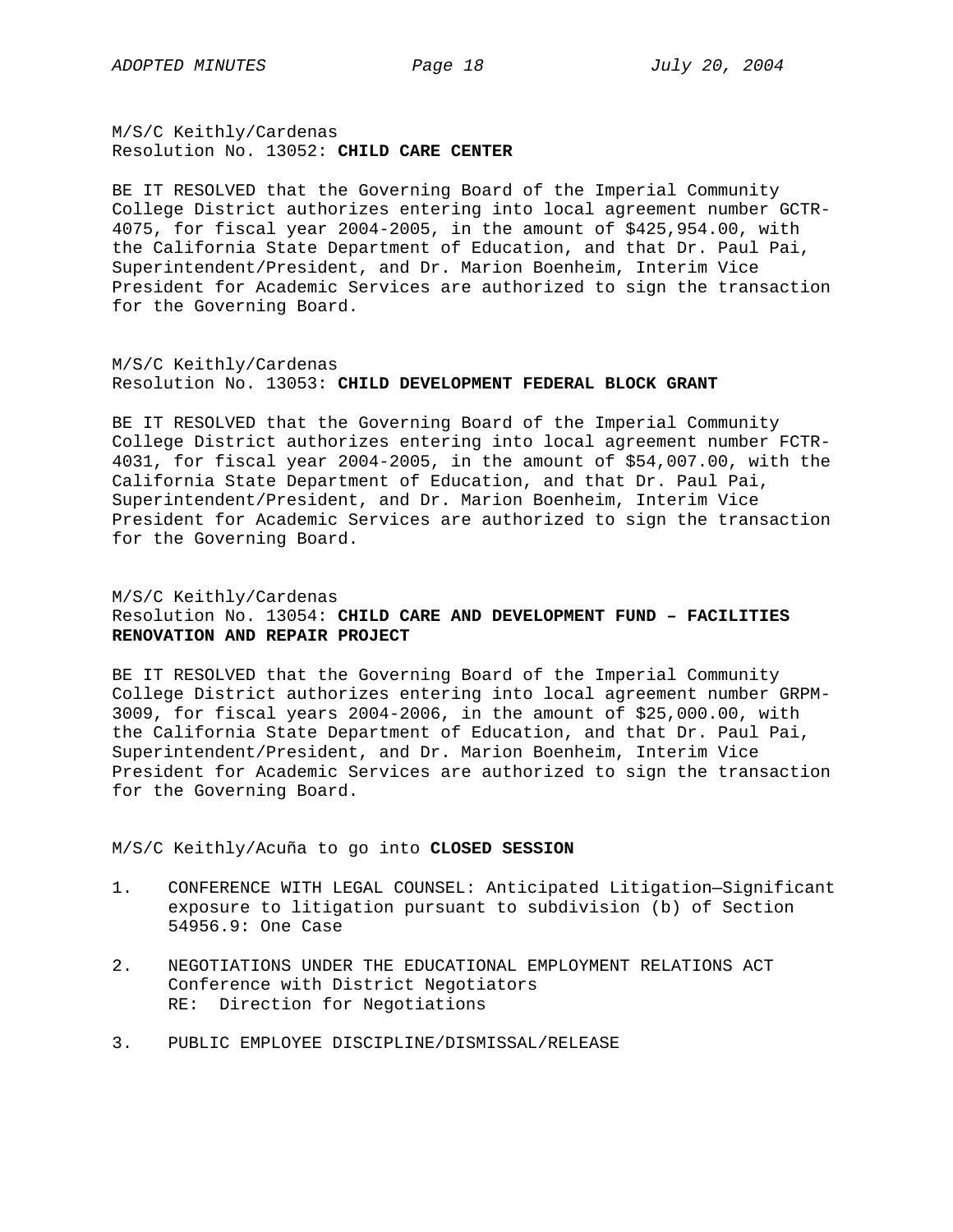M/S/C Keithly/Cardenas Resolution No. 13052: **CHILD CARE CENTER**

BE IT RESOLVED that the Governing Board of the Imperial Community College District authorizes entering into local agreement number GCTR-4075, for fiscal year 2004-2005, in the amount of \$425,954.00, with the California State Department of Education, and that Dr. Paul Pai, Superintendent/President, and Dr. Marion Boenheim, Interim Vice President for Academic Services are authorized to sign the transaction for the Governing Board.

# M/S/C Keithly/Cardenas Resolution No. 13053: **CHILD DEVELOPMENT FEDERAL BLOCK GRANT**

BE IT RESOLVED that the Governing Board of the Imperial Community College District authorizes entering into local agreement number FCTR-4031, for fiscal year 2004-2005, in the amount of \$54,007.00, with the California State Department of Education, and that Dr. Paul Pai, Superintendent/President, and Dr. Marion Boenheim, Interim Vice President for Academic Services are authorized to sign the transaction for the Governing Board.

# M/S/C Keithly/Cardenas Resolution No. 13054: **CHILD CARE AND DEVELOPMENT FUND – FACILITIES RENOVATION AND REPAIR PROJECT**

BE IT RESOLVED that the Governing Board of the Imperial Community College District authorizes entering into local agreement number GRPM-3009, for fiscal years 2004-2006, in the amount of \$25,000.00, with the California State Department of Education, and that Dr. Paul Pai, Superintendent/President, and Dr. Marion Boenheim, Interim Vice President for Academic Services are authorized to sign the transaction for the Governing Board.

M/S/C Keithly/Acuña to go into **CLOSED SESSION**

- 1. CONFERENCE WITH LEGAL COUNSEL: Anticipated Litigation—Significant exposure to litigation pursuant to subdivision (b) of Section 54956.9: One Case
- 2. NEGOTIATIONS UNDER THE EDUCATIONAL EMPLOYMENT RELATIONS ACT Conference with District Negotiators RE: Direction for Negotiations
- 3. PUBLIC EMPLOYEE DISCIPLINE/DISMISSAL/RELEASE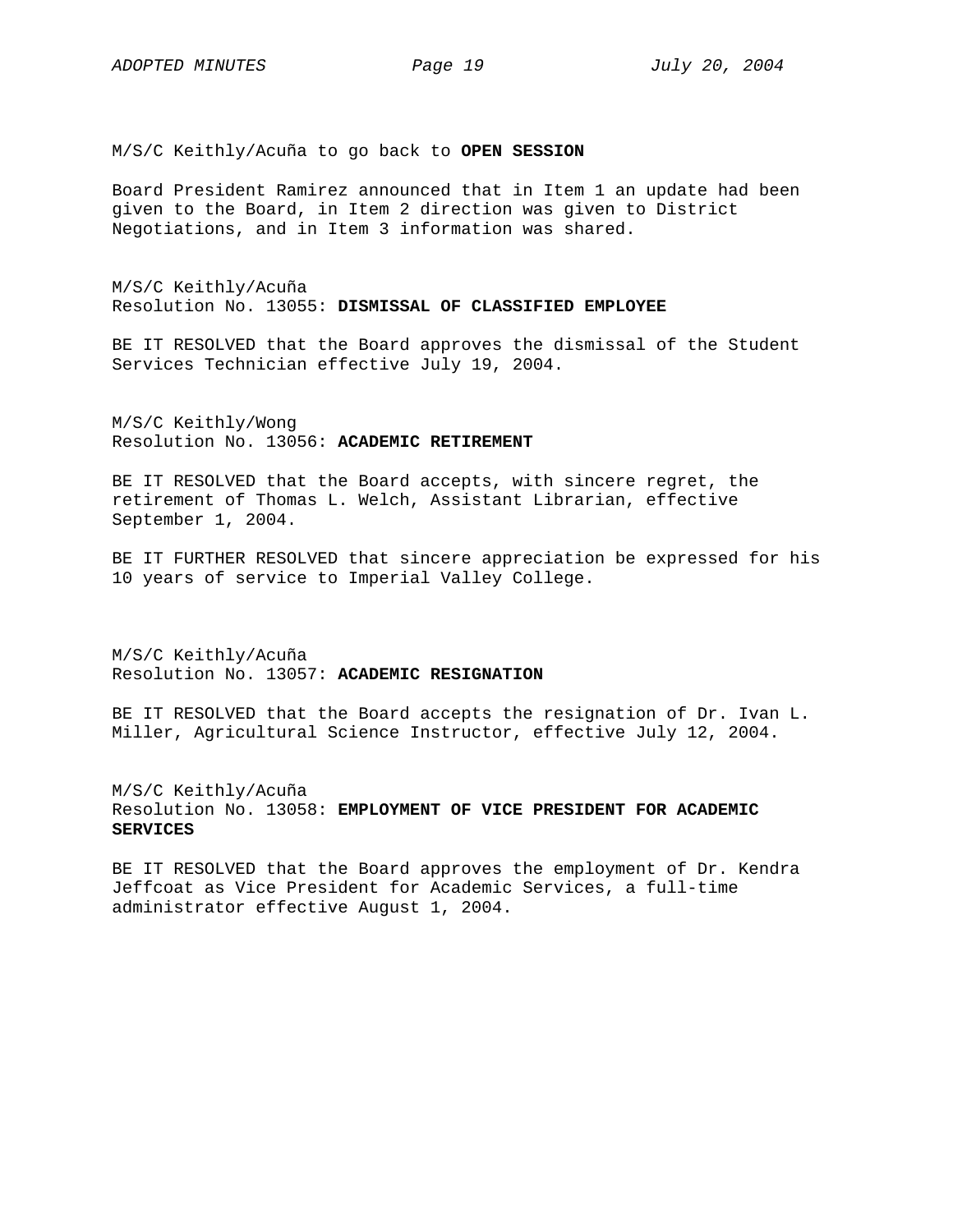M/S/C Keithly/Acuña to go back to **OPEN SESSION** 

Board President Ramirez announced that in Item 1 an update had been given to the Board, in Item 2 direction was given to District Negotiations, and in Item 3 information was shared.

M/S/C Keithly/Acuña Resolution No. 13055: **DISMISSAL OF CLASSIFIED EMPLOYEE**

BE IT RESOLVED that the Board approves the dismissal of the Student Services Technician effective July 19, 2004.

M/S/C Keithly/Wong Resolution No. 13056: **ACADEMIC RETIREMENT**

BE IT RESOLVED that the Board accepts, with sincere regret, the retirement of Thomas L. Welch, Assistant Librarian, effective September 1, 2004.

BE IT FURTHER RESOLVED that sincere appreciation be expressed for his 10 years of service to Imperial Valley College.

M/S/C Keithly/Acuña Resolution No. 13057: **ACADEMIC RESIGNATION**

BE IT RESOLVED that the Board accepts the resignation of Dr. Ivan L. Miller, Agricultural Science Instructor, effective July 12, 2004.

M/S/C Keithly/Acuña Resolution No. 13058: **EMPLOYMENT OF VICE PRESIDENT FOR ACADEMIC SERVICES**

BE IT RESOLVED that the Board approves the employment of Dr. Kendra Jeffcoat as Vice President for Academic Services, a full-time administrator effective August 1, 2004.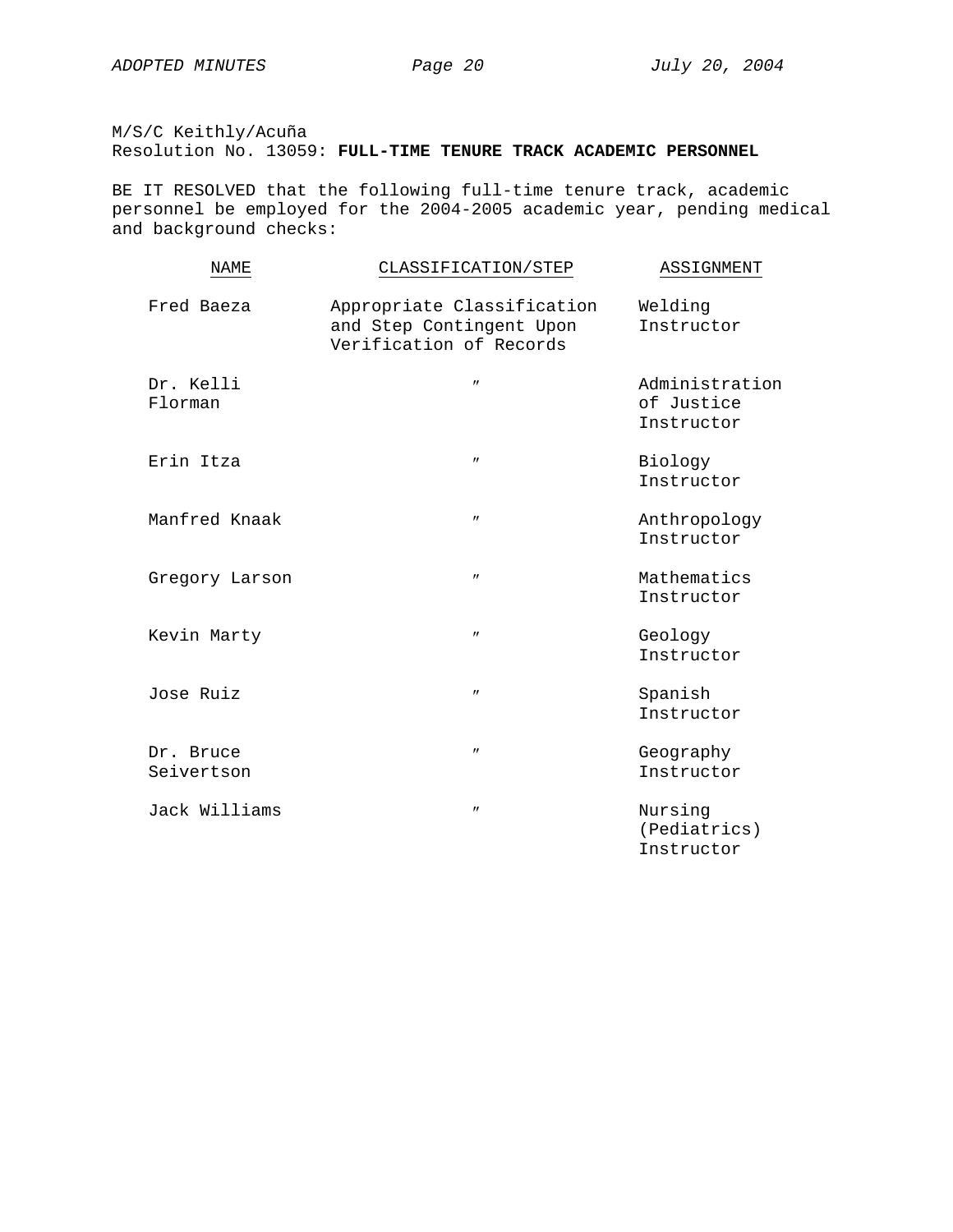M/S/C Keithly/Acuña Resolution No. 13059: **FULL-TIME TENURE TRACK ACADEMIC PERSONNEL**

BE IT RESOLVED that the following full-time tenure track, academic personnel be employed for the 2004-2005 academic year, pending medical and background checks:

| NAME                    | CLASSIFICATION/STEP                                                               | ASSIGNMENT                                 |
|-------------------------|-----------------------------------------------------------------------------------|--------------------------------------------|
| Fred Baeza              | Appropriate Classification<br>and Step Contingent Upon<br>Verification of Records | Welding<br>Instructor                      |
| Dr. Kelli<br>Florman    | $^{\prime\prime}$                                                                 | Administration<br>of Justice<br>Instructor |
| Erin Itza               | $^{\prime\prime}$                                                                 | Biology<br>Instructor                      |
| Manfred Knaak           | $^{\prime\prime}$                                                                 | Anthropology<br>Instructor                 |
| Gregory Larson          | $\prime\prime$                                                                    | Mathematics<br>Instructor                  |
| Kevin Marty             | $^{\prime\prime}$                                                                 | Geology<br>Instructor                      |
| Jose Ruiz               | $^{\prime\prime}$                                                                 | Spanish<br>Instructor                      |
| Dr. Bruce<br>Seivertson | $^{\prime\prime}$                                                                 | Geography<br>Instructor                    |
| Jack Williams           | $\prime\prime$                                                                    | Nursing<br>(Pediatrics)<br>Instructor      |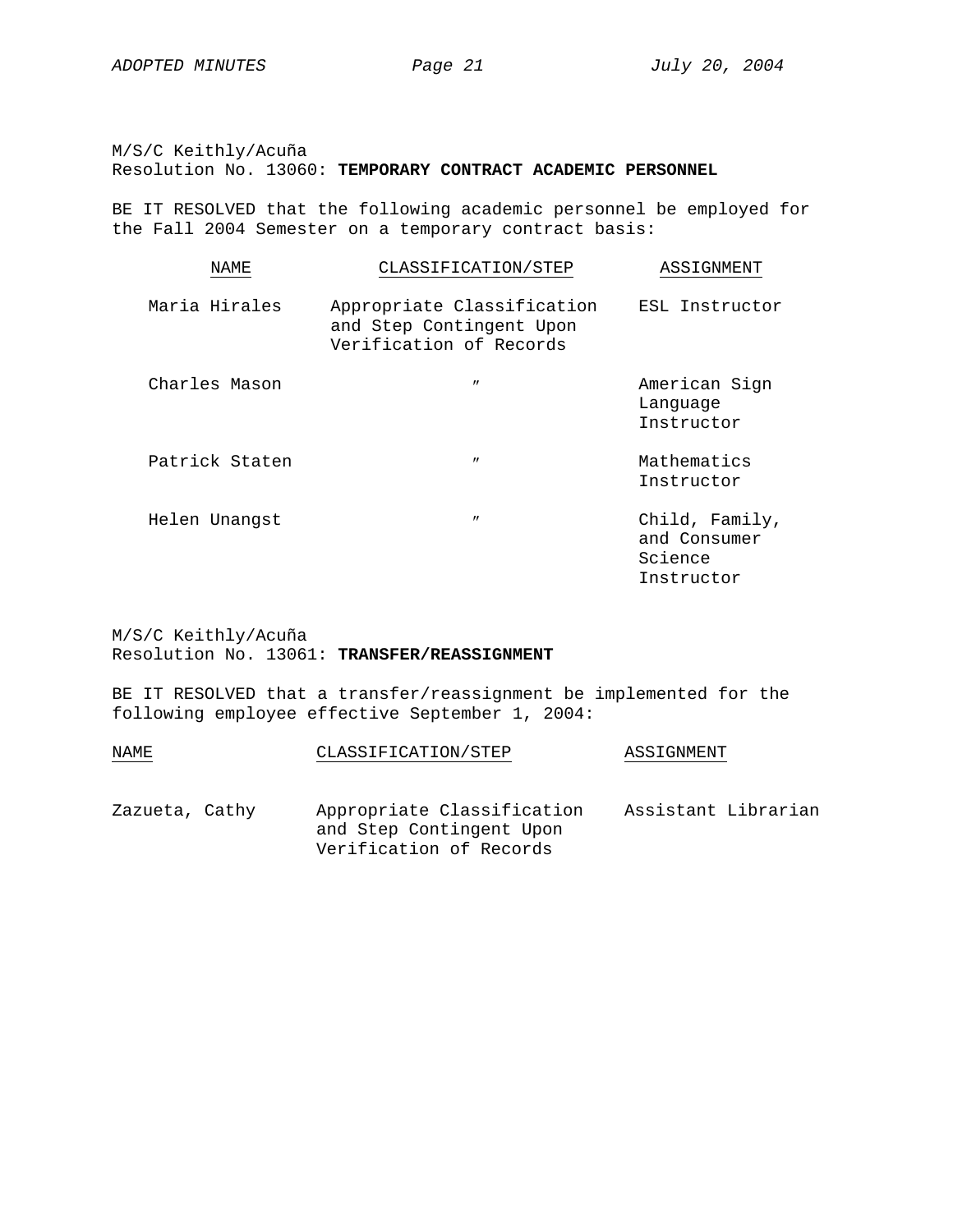M/S/C Keithly/Acuña Resolution No. 13060: **TEMPORARY CONTRACT ACADEMIC PERSONNEL**

BE IT RESOLVED that the following academic personnel be employed for the Fall 2004 Semester on a temporary contract basis:

| <b>NAME</b>    | CLASSIFICATION/STEP                                                               | ASSIGNMENT                                              |
|----------------|-----------------------------------------------------------------------------------|---------------------------------------------------------|
| Maria Hirales  | Appropriate Classification<br>and Step Contingent Upon<br>Verification of Records | ESL Instructor                                          |
| Charles Mason  | $^{\prime\prime}$                                                                 | American Sign<br>Language<br>Instructor                 |
| Patrick Staten | $^{\prime\prime}$                                                                 | Mathematics<br>Instructor                               |
| Helen Unangst  | $^{\prime\prime}$                                                                 | Child, Family,<br>and Consumer<br>Science<br>Instructor |

M/S/C Keithly/Acuña Resolution No. 13061: **TRANSFER/REASSIGNMENT**

BE IT RESOLVED that a transfer/reassignment be implemented for the following employee effective September 1, 2004:

| NAME           |  | CLASSIFICATION/STEP                                                               | ASSIGNMENT          |  |
|----------------|--|-----------------------------------------------------------------------------------|---------------------|--|
| Zazueta, Cathy |  | Appropriate Classification<br>and Step Contingent Upon<br>Verification of Records | Assistant Librarian |  |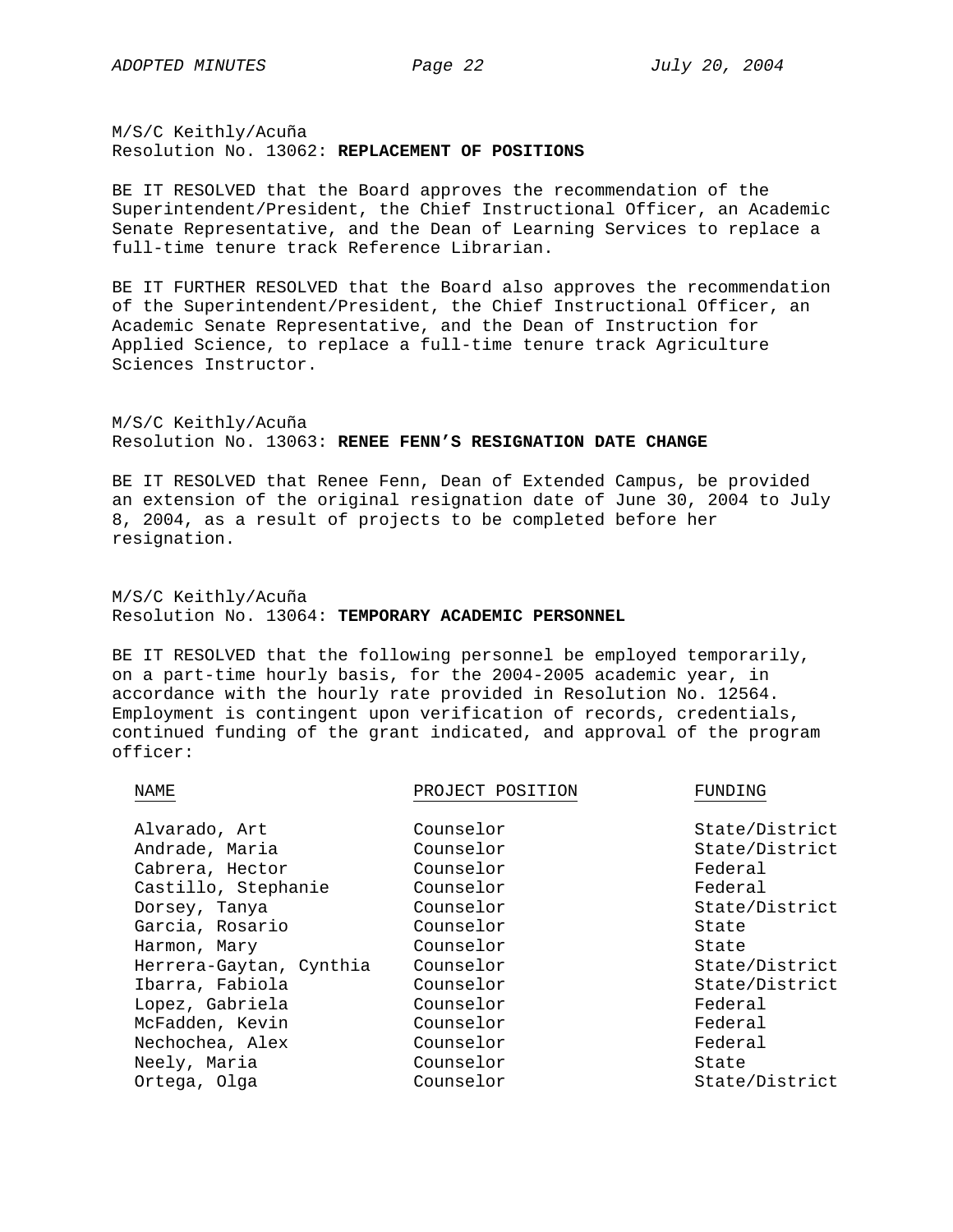M/S/C Keithly/Acuña Resolution No. 13062: **REPLACEMENT OF POSITIONS**

BE IT RESOLVED that the Board approves the recommendation of the Superintendent/President, the Chief Instructional Officer, an Academic Senate Representative, and the Dean of Learning Services to replace a full-time tenure track Reference Librarian.

BE IT FURTHER RESOLVED that the Board also approves the recommendation of the Superintendent/President, the Chief Instructional Officer, an Academic Senate Representative, and the Dean of Instruction for Applied Science, to replace a full-time tenure track Agriculture Sciences Instructor.

M/S/C Keithly/Acuña Resolution No. 13063: **RENEE FENN'S RESIGNATION DATE CHANGE**

BE IT RESOLVED that Renee Fenn, Dean of Extended Campus, be provided an extension of the original resignation date of June 30, 2004 to July 8, 2004, as a result of projects to be completed before her resignation.

M/S/C Keithly/Acuña Resolution No. 13064: **TEMPORARY ACADEMIC PERSONNEL**

BE IT RESOLVED that the following personnel be employed temporarily, on a part-time hourly basis, for the 2004-2005 academic year, in accordance with the hourly rate provided in Resolution No. 12564. Employment is contingent upon verification of records, credentials, continued funding of the grant indicated, and approval of the program officer:

NAME ROUBLE PROJECT POSITION FUNDING

| Alvarado, Art           | Counselor | State/District |
|-------------------------|-----------|----------------|
| Andrade, Maria          | Counselor | State/District |
| Cabrera, Hector         | Counselor | Federal        |
| Castillo, Stephanie     | Counselor | Federal        |
| Dorsey, Tanya           | Counselor | State/District |
| Garcia, Rosario         | Counselor | State          |
| Harmon, Mary            | Counselor | State          |
| Herrera-Gaytan, Cynthia | Counselor | State/District |
| Ibarra, Fabiola         | Counselor | State/District |
| Lopez, Gabriela         | Counselor | Federal        |
| McFadden, Kevin         | Counselor | Federal        |
| Nechochea, Alex         | Counselor | Federal        |
| Neely, Maria            | Counselor | State          |
| Ortega, Olga            | Counselor | State/District |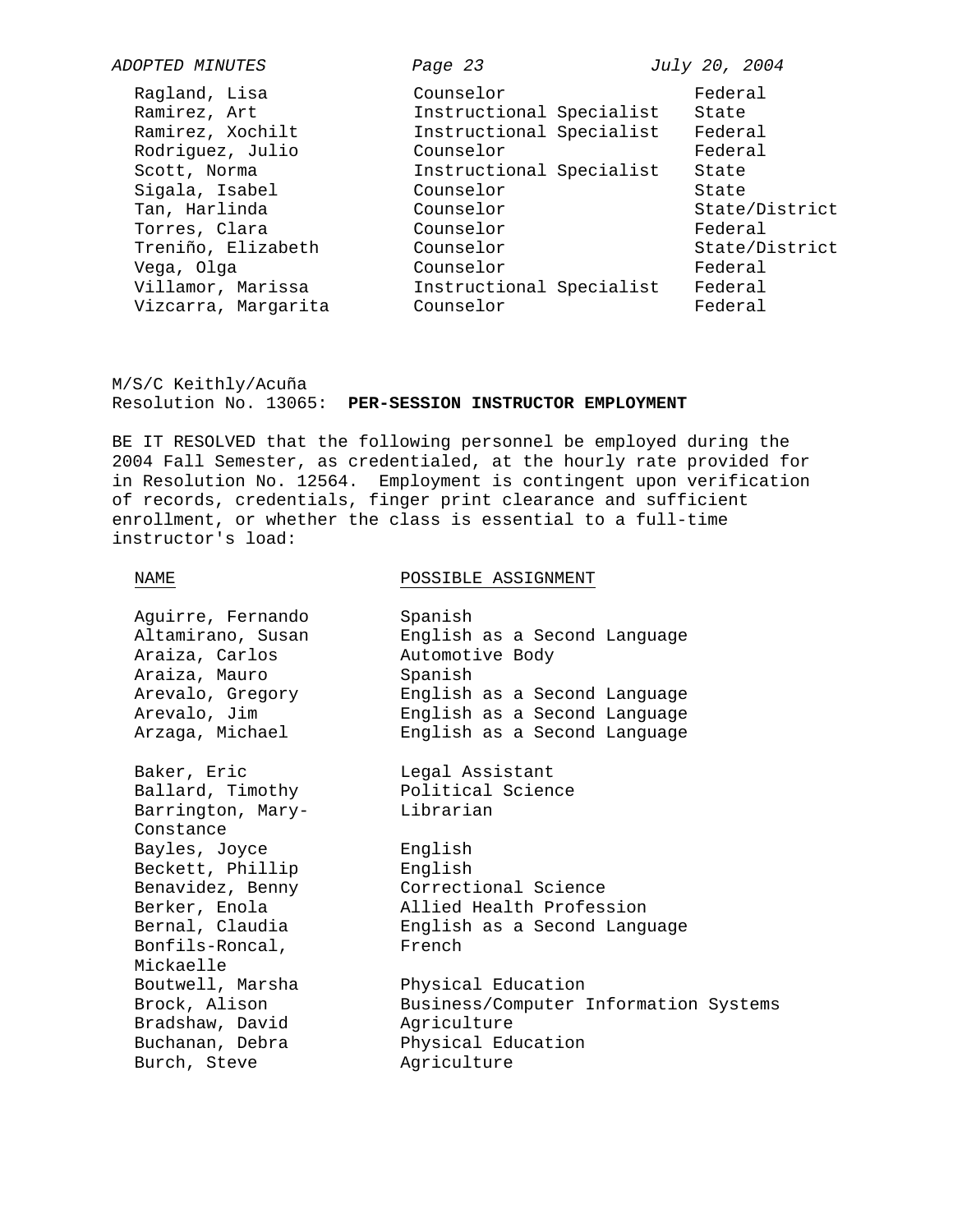| ADOPTED MINUTES     | Page 23                  | July 20, 2004  |
|---------------------|--------------------------|----------------|
| Ragland, Lisa       | Counselor                | Federal        |
| Ramirez, Art        | Instructional Specialist | State          |
| Ramirez, Xochilt    | Instructional Specialist | Federal        |
| Rodriguez, Julio    | Counselor                | Federal        |
| Scott, Norma        | Instructional Specialist | State          |
| Sigala, Isabel      | Counselor                | State          |
| Tan, Harlinda       | Counselor                | State/District |
| Torres, Clara       | Counselor                | Federal        |
| Treniño, Elizabeth  | Counselor                | State/District |
| Vega, Olga          | Counselor                | Federal        |
| Villamor, Marissa   | Instructional Specialist | Federal        |
| Vizcarra, Margarita | Counselor                | Federal        |

M/S/C Keithly/Acuña Resolution No. 13065: **PER-SESSION INSTRUCTOR EMPLOYMENT**

BE IT RESOLVED that the following personnel be employed during the 2004 Fall Semester, as credentialed, at the hourly rate provided for in Resolution No. 12564. Employment is contingent upon verification of records, credentials, finger print clearance and sufficient enrollment, or whether the class is essential to a full-time instructor's load:

NAME POSSIBLE ASSIGNMENT

| Aguirre, Fernando | Spanish                               |
|-------------------|---------------------------------------|
| Altamirano, Susan | English as a Second Language          |
| Araiza, Carlos    | Automotive Body                       |
| Araiza, Mauro     | Spanish                               |
| Arevalo, Gregory  | English as a Second Language          |
| Arevalo, Jim      | English as a Second Language          |
| Arzaga, Michael   | English as a Second Language          |
| Baker, Eric       | Legal Assistant                       |
| Ballard, Timothy  | Political Science                     |
| Barrington, Mary- | Librarian                             |
| Constance         |                                       |
| Bayles, Joyce     | English                               |
| Beckett, Phillip  | English                               |
| Benavidez, Benny  | Correctional Science                  |
| Berker, Enola     | Allied Health Profession              |
| Bernal, Claudia   | English as a Second Language          |
| Bonfils-Roncal,   | French                                |
| Mickaelle         |                                       |
| Boutwell, Marsha  | Physical Education                    |
| Brock, Alison     | Business/Computer Information Systems |
| Bradshaw, David   | Agriculture                           |
| Buchanan, Debra   | Physical Education                    |
| Burch, Steve      | Agriculture                           |
|                   |                                       |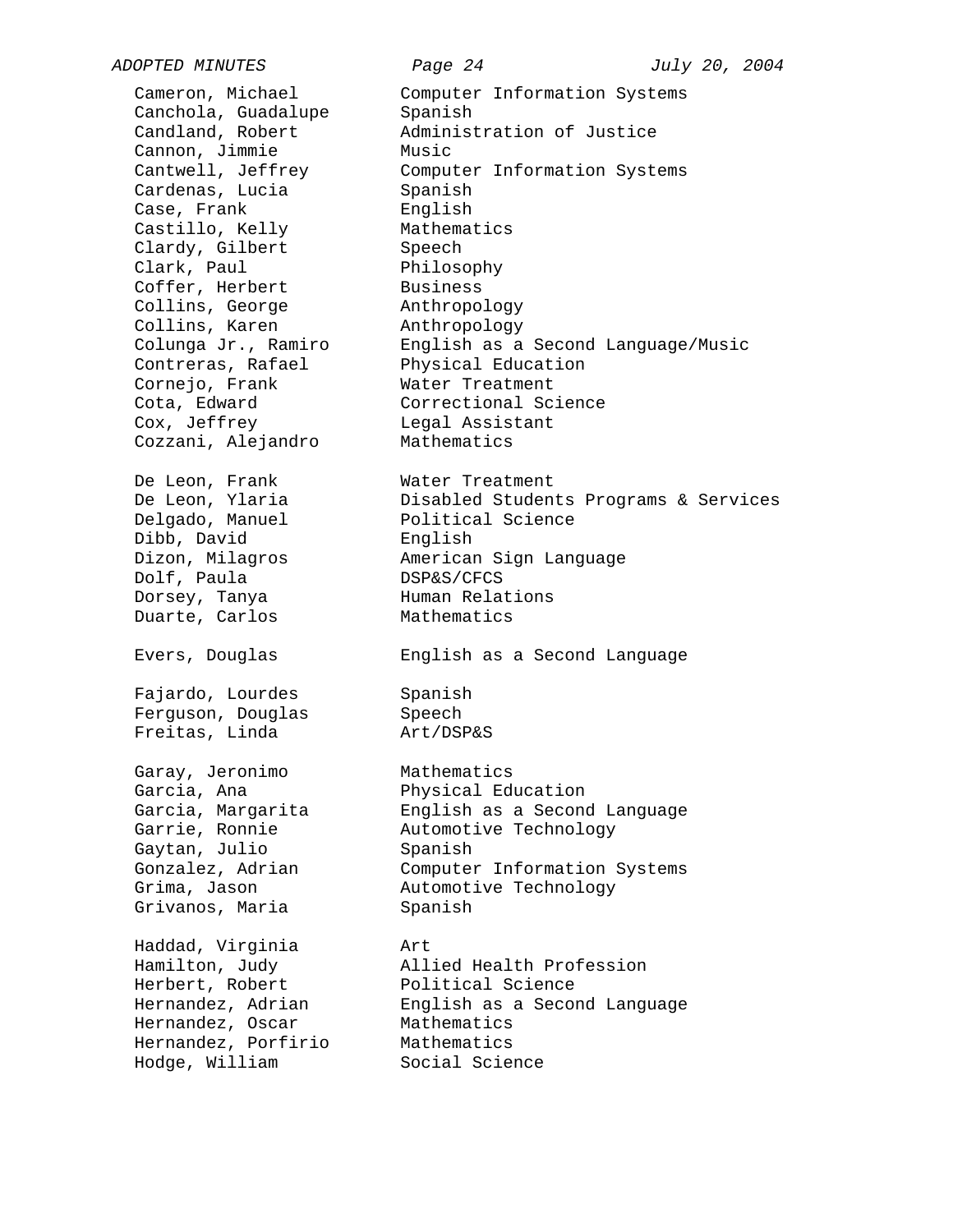Canchola, Guadalupe Spanish<br>Candland, Robert Maminist Cannon, Jimmie Music Cardenas, Lucia Spanish Case, Frank English Castillo, Kelly Mathematics Clardy, Gilbert Speech Clark, Paul Philosophy Coffer, Herbert Business Collins, George Anthropology Collins, Karen Manthropology Contreras, Rafael Physical Education<br>Cornejo, Frank Water Treatment Cota, Edward Correctional Science Cox, Jeffrey Cox, Legal Assistant Cozzani, Alejandro Mathematics De Leon, Frank Water Treatment

Dibb, David English Dolf, Paula DSP&S/CFCS Dorsey, Tanya **Human Relations** 

Fajardo, Lourdes Spanish Ferguson, Douglas Speech Freitas, Linda Art/DSP&S

Garay, Jeronimo Mathematics Gaytan, Julio Spanish Grivanos, Maria Spanish

Haddad, Virginia Art Herbert, Robert Political Science Hernandez, Oscar Mathematics Hernandez, Porfirio Mathematics Hodge, William Social Science

*ADOPTED MINUTES Page 24 July 20, 2004*  Cameron, Michael Computer Information Systems Administration of Justice Cantwell, Jeffrey Computer Information Systems Colunga Jr., Ramiro English as a Second Language/Music Water Treatment De Leon, Ylaria Disabled Students Programs & Services Delgado, Manuel Political Science Dizon, Milagros American Sign Language Duarte, Carlos Mathematics Evers, Douglas English as a Second Language Garcia, Ana **Physical Education** Garcia, Margarita English as a Second Language Garrie, Ronnie Automotive Technology Gonzalez, Adrian Computer Information Systems Grima, Jason Mutomotive Technology

Hamilton, Judy Allied Health Profession Hernandez, Adrian English as a Second Language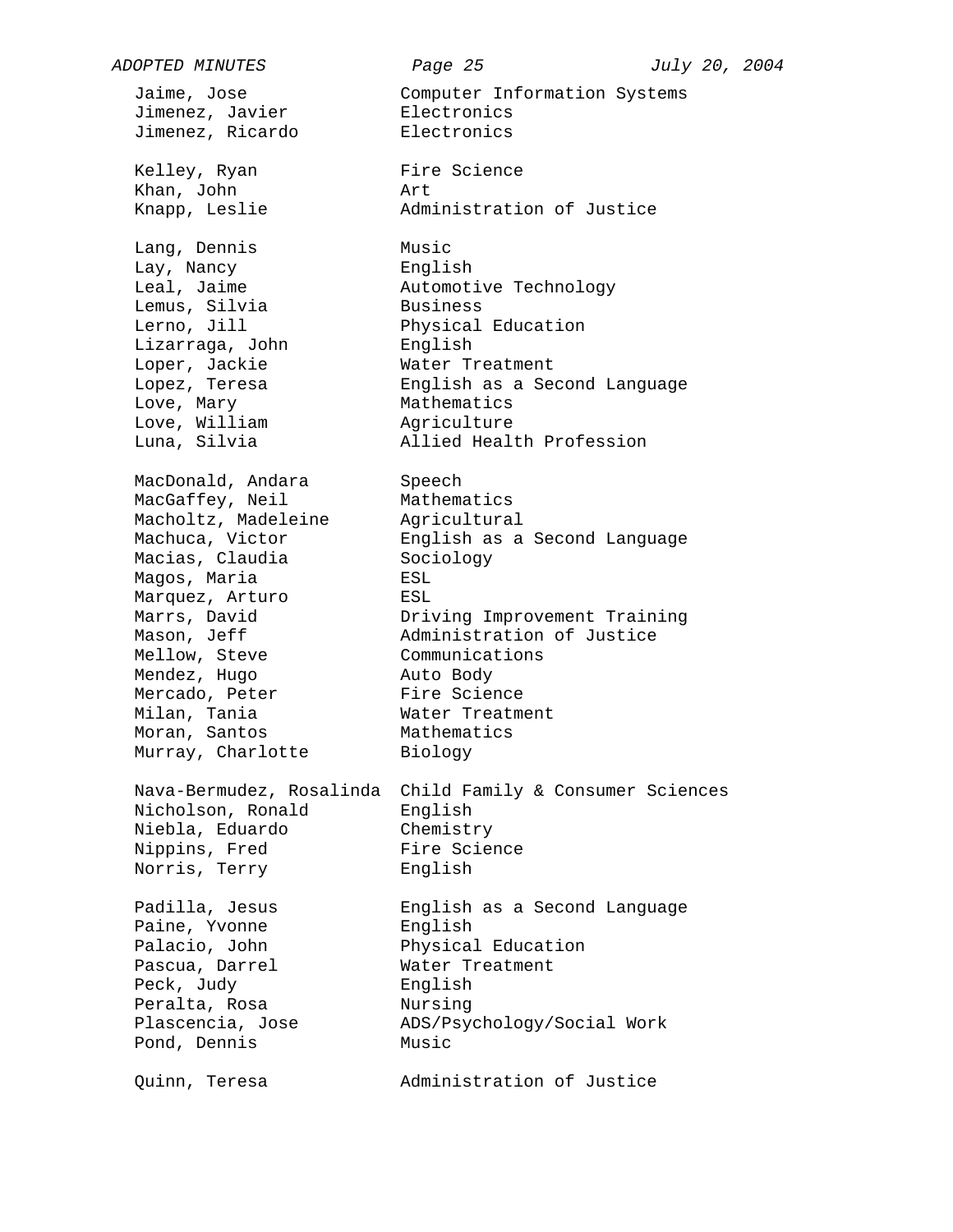*ADOPTED MINUTES Page 25 July 20, 2004*  Jaime, Jose Computer Information Systems Jimenez, Javier **Electronics** Jimenez, Ricardo Electronics Kelley, Ryan Fire Science Khan, John Art Knapp, Leslie **Administration of Justice** Lang, Dennis Music Lay, Nancy **English** Leal, Jaime Automotive Technology Lemus, Silvia Lerno, Jill **Exercical Education** Leino, composition<br>Lizarraga, John<br>Lopez, Teresa Loper, Jackie Mater Treatment Lopez, Teresa English as a Second Language Love, Mary **Mathematics** Love, William Magriculture Luna, Silvia Allied Health Profession MacDonald, Andara Speech MacGaffey, Neil Mathematics Macholtz, Madeleine Agricultural Machuca, Victor English as a Second Language<br>Macias, Claudia Sociology Macias, Claudia Magos, Maria ESL Marquez, Arturo ESL Marrs, David Driving Improvement Training Mason, Jeff Administration of Justice Mellow, Steve **Communications** Mendez, Hugo Auto Body Mercado, Peter Fire Science Milan, Tania Water Treatment Milan, Tania<br>Moran, Santos Murray, Charlotte Nava-Bermudez, Rosalinda Child Family & Consumer Sciences Nicholson, Ronald English Niebla, Eduardo Chemistry Nippins, Fred Fire Science Norris, Terry English Padilla, Jesus English as a Second Language Paine, Yvonne Palacio, John Physical Education Pascua, Darrel Water Treatment Peck, Judy English Peralta, Rosa Nursing Plascencia, Jose ADS/Psychology/Social Work Pond, Dennis Music Quinn, Teresa Administration of Justice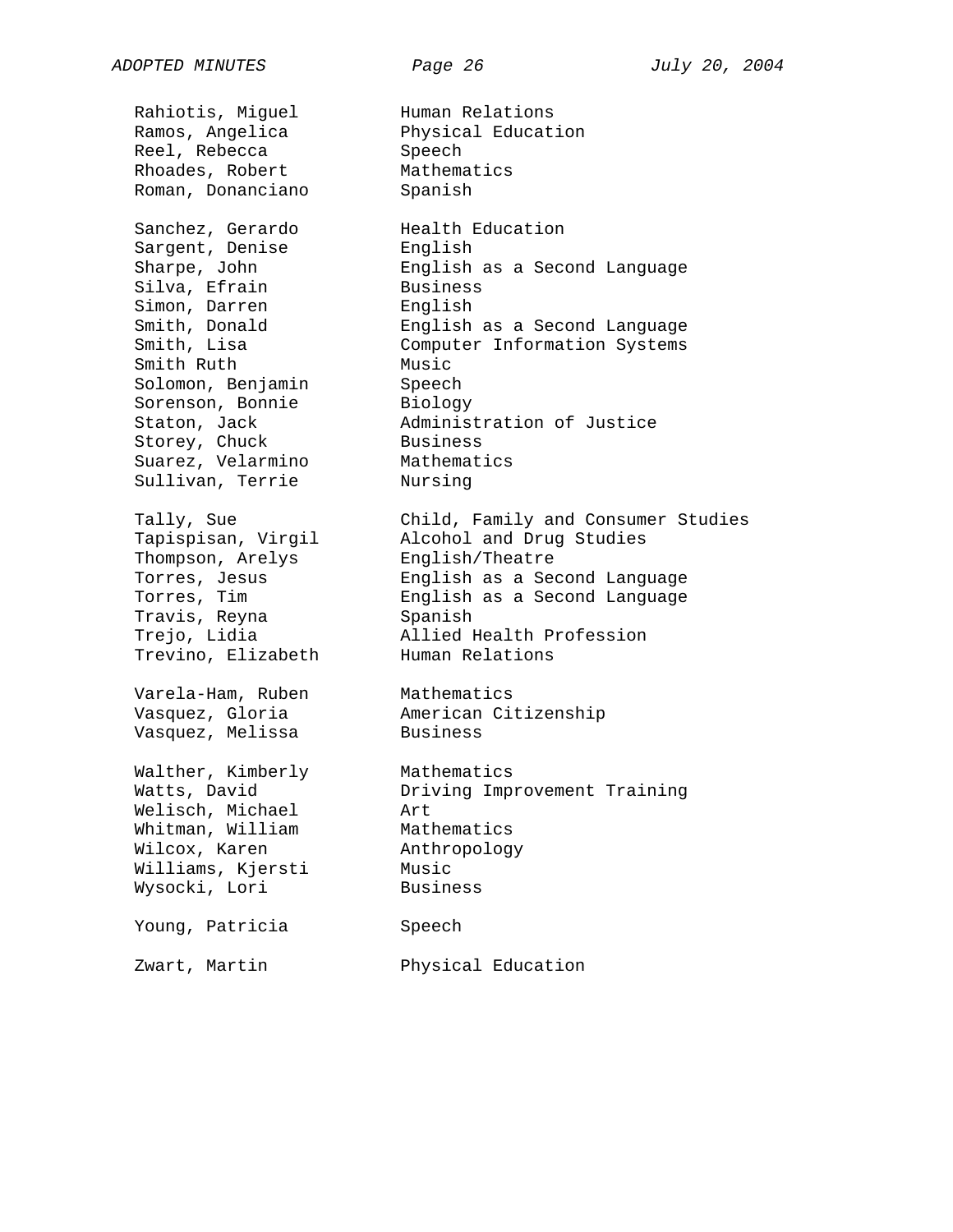Rahiotis, Miguel Human Relations<br>Ramos, Angelica Bhysical Educat Reel, Rebecca<br>Rhoades, Robert Roman, Donanciano Sanchez, Gerardo Health Education Sargent, Denise English Sharpe, John English as a Second Language Silva, Efrain Simon, Darren English<br>Smith, Donald English<br>Smith, Lisa Computer Smith, Donald English as a Second Language Smith, Lisa Computer Information Systems Smith Ruth Music<br>Solomon, Benjamin Music<br>Sorenson, Bonnie Biology Solomon, Benjamin Speech Sorenson, Bonnie and Biology Staton, Jack **Administration of Justice** Storey, Chuck Business Suarez, Velarmino Mathematics Sullivan, Terrie Nursing Tapispisan, Virgil Alcohol and Drug Studies Tapispisan, Virgil<br>Thompson, Arelys Torres, Jesus English as a Second Language Torres, Tim English as a Second Language Travis, Reyna<br>Spanish Trejo, Lidia Allied Health Profession Trevino, Elizabeth Varela-Ham, Ruben Mathematics Vasquez, Gloria American Citizenship Vasquez, Melissa Business Walther, Kimberly Walther, Kimberly Mathematics<br>Watts, David Driving Improvement Training Welisch, Michael Art Whitman, William Mathematics Wilcox, Karen Anthropology<br>Williams, Kjersti Music Williams, Kjersti<br>Williams, Kjersti Wysocki, Lori Business Young, Patricia Speech

Physical Education<br>Speech Mathematics<br>Spanish Tally, Sue Child, Family and Consumer Studies

Zwart, Martin Physical Education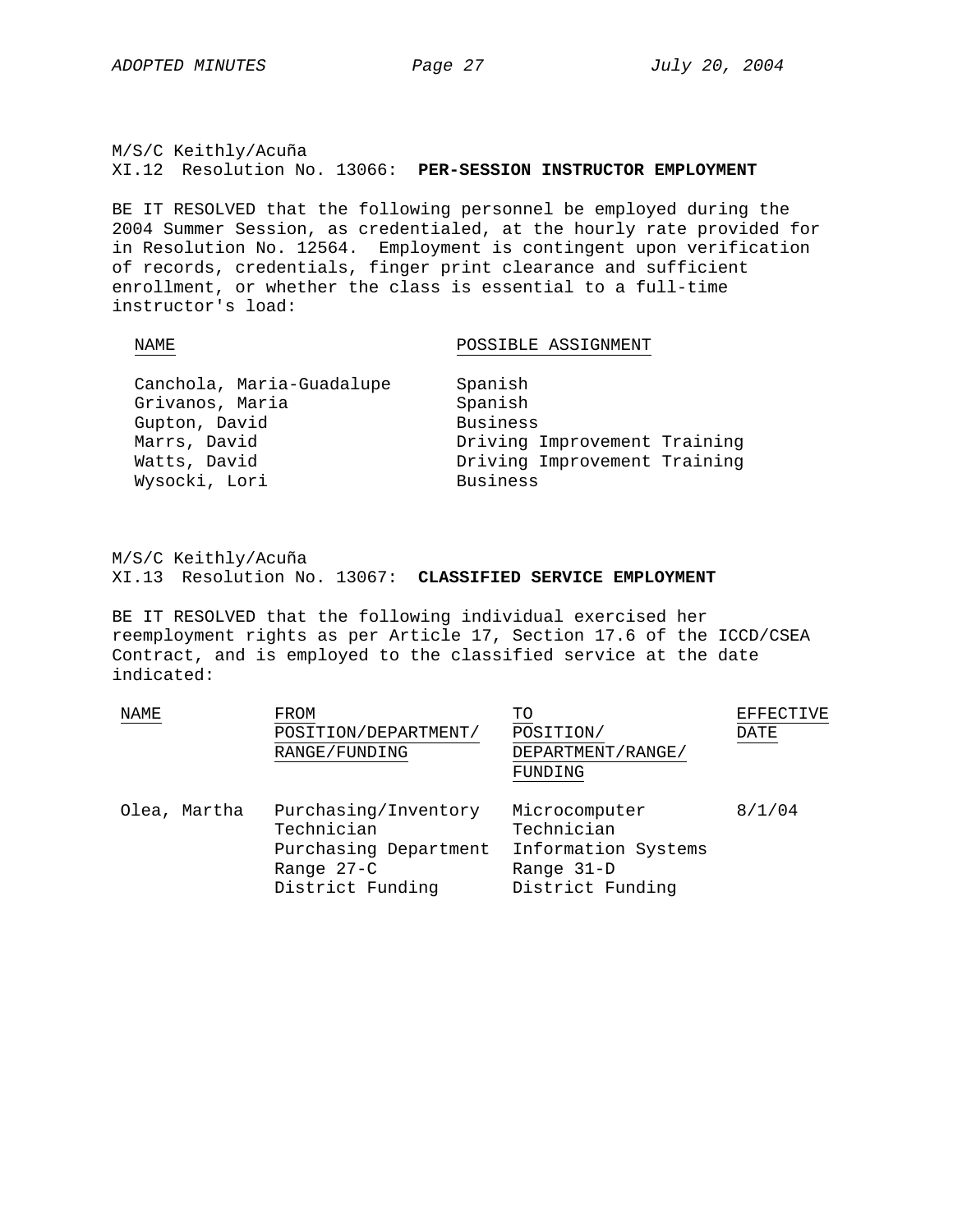M/S/C Keithly/Acuña XI.12 Resolution No. 13066: **PER-SESSION INSTRUCTOR EMPLOYMENT**

BE IT RESOLVED that the following personnel be employed during the 2004 Summer Session, as credentialed, at the hourly rate provided for in Resolution No. 12564. Employment is contingent upon verification of records, credentials, finger print clearance and sufficient enrollment, or whether the class is essential to a full-time instructor's load:

### NAME POSSIBLE ASSIGNMENT

| Canchola, Maria-Guadalupe | Spanish                      |
|---------------------------|------------------------------|
| Grivanos, Maria           | Spanish                      |
| Gupton, David             | <b>Business</b>              |
| Marrs, David              | Driving Improvement Training |
| Watts, David              | Driving Improvement Training |
| Wysocki, Lori             | <b>Business</b>              |

M/S/C Keithly/Acuña XI.13 Resolution No. 13067: **CLASSIFIED SERVICE EMPLOYMENT**

BE IT RESOLVED that the following individual exercised her reemployment rights as per Article 17, Section 17.6 of the ICCD/CSEA Contract, and is employed to the classified service at the date indicated:

| NAME         | FROM<br>POSITION/DEPARTMENT/<br>RANGE/FUNDING                                                 | TO<br>POSITION/<br>DEPARTMENT/RANGE/<br>FUNDING                                      | EFFECTIVE<br>DATE |
|--------------|-----------------------------------------------------------------------------------------------|--------------------------------------------------------------------------------------|-------------------|
| Olea, Martha | Purchasing/Inventory<br>Technician<br>Purchasing Department<br>Range 27-C<br>District Funding | Microcomputer<br>Technician<br>Information Systems<br>Range 31-D<br>District Funding | 8/1/04            |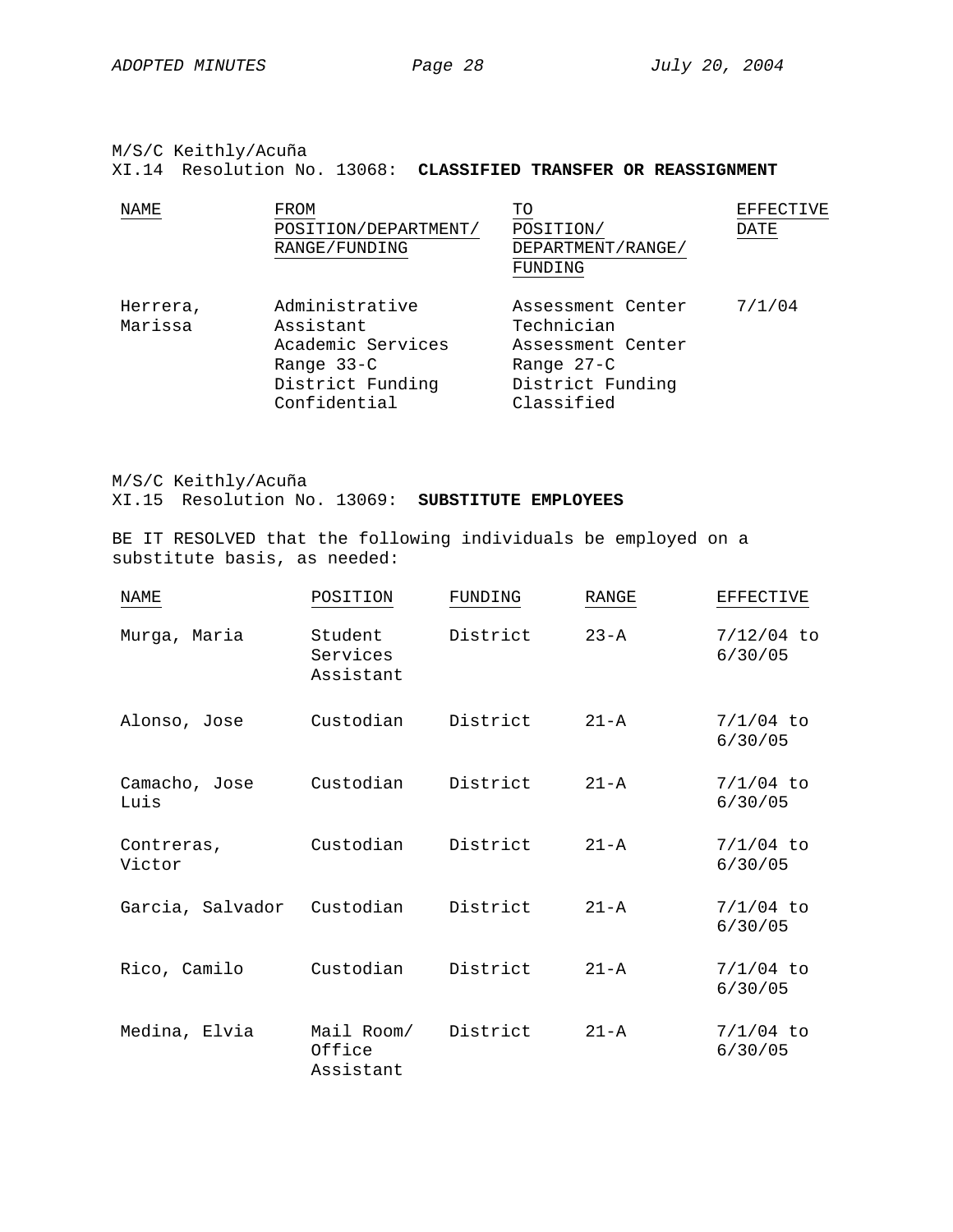M/S/C Keithly/Acuña

XI.14 Resolution No. 13068: **CLASSIFIED TRANSFER OR REASSIGNMENT**

| <b>NAME</b>         | FROM                                                                                               | TΟ                                                                                                   | <b>EFFECTIVE</b> |
|---------------------|----------------------------------------------------------------------------------------------------|------------------------------------------------------------------------------------------------------|------------------|
|                     | POSITION/DEPARTMENT/<br>RANGE/FUNDING                                                              | POSITION/<br>DEPARTMENT/RANGE/<br>FUNDING                                                            | <b>DATE</b>      |
| Herrera,<br>Marissa | Administrative<br>Assistant<br>Academic Services<br>Range 33-C<br>District Funding<br>Confidential | Assessment Center<br>Technician<br>Assessment Center<br>Range 27-C<br>District Funding<br>Classified | 7/1/04           |

M/S/C Keithly/Acuña XI.15 Resolution No. 13069: **SUBSTITUTE EMPLOYEES**

BE IT RESOLVED that the following individuals be employed on a substitute basis, as needed:

| <b>NAME</b>           | POSITION                          | FUNDING  | RANGE    | <b>EFFECTIVE</b>        |
|-----------------------|-----------------------------------|----------|----------|-------------------------|
| Murga, Maria          | Student<br>Services<br>Assistant  | District | $23 - A$ | $7/12/04$ to<br>6/30/05 |
| Alonso, Jose          | Custodian                         | District | $21 - A$ | $7/1/04$ to<br>6/30/05  |
| Camacho, Jose<br>Luis | Custodian                         | District | $21 - A$ | $7/1/04$ to<br>6/30/05  |
| Contreras,<br>Victor  | Custodian                         | District | $21 - A$ | $7/1/04$ to<br>6/30/05  |
| Garcia, Salvador      | Custodian                         | District | $21 - A$ | $7/1/04$ to<br>6/30/05  |
| Rico, Camilo          | Custodian                         | District | $21 - A$ | $7/1/04$ to<br>6/30/05  |
| Medina, Elvia         | Mail Room/<br>Office<br>Assistant | District | $21 - A$ | $7/1/04$ to<br>6/30/05  |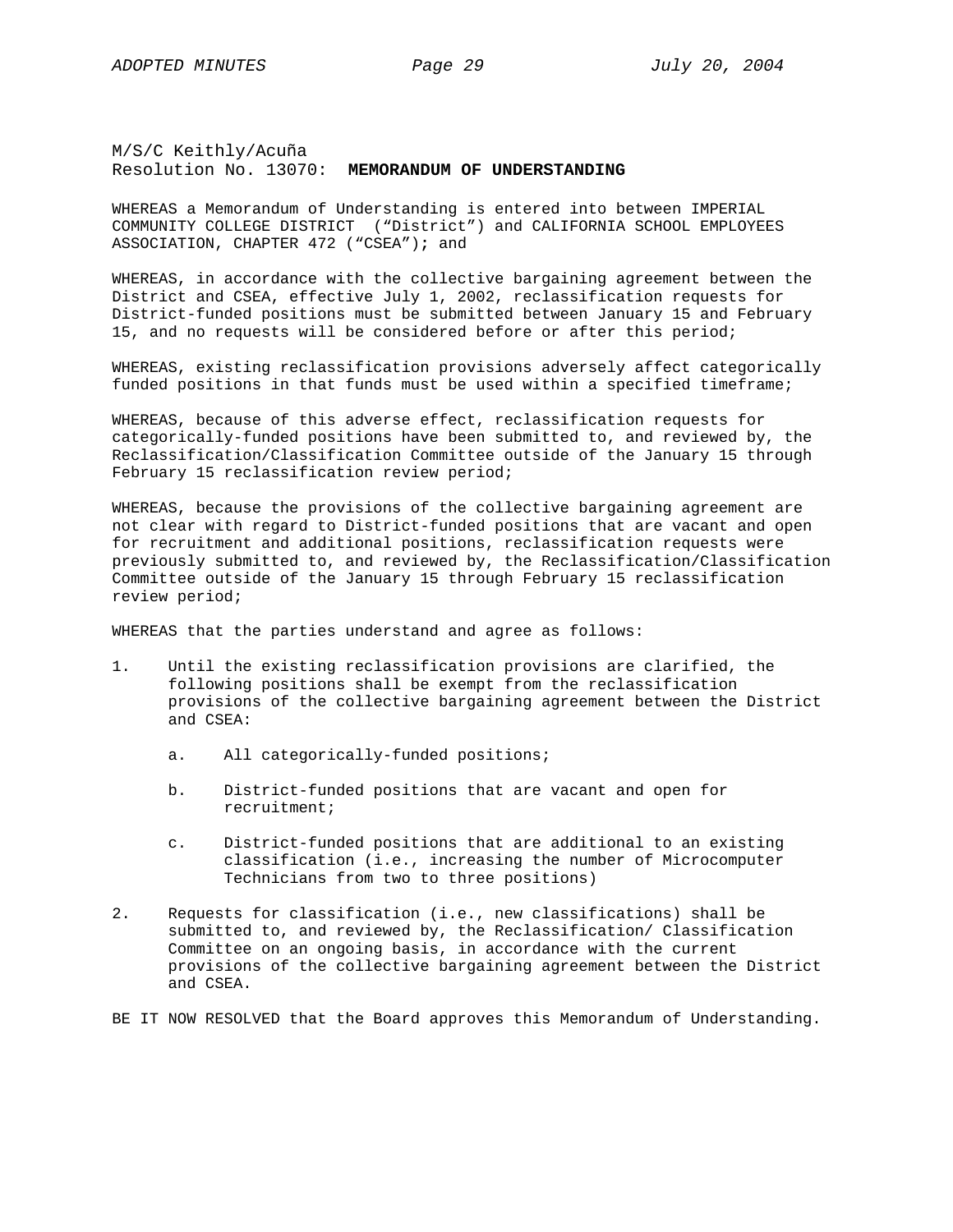M/S/C Keithly/Acuña Resolution No. 13070: **MEMORANDUM OF UNDERSTANDING**

WHEREAS a Memorandum of Understanding is entered into between IMPERIAL COMMUNITY COLLEGE DISTRICT ("District") and CALIFORNIA SCHOOL EMPLOYEES ASSOCIATION, CHAPTER 472 ("CSEA")**;** and

WHEREAS, in accordance with the collective bargaining agreement between the District and CSEA, effective July 1, 2002, reclassification requests for District-funded positions must be submitted between January 15 and February 15, and no requests will be considered before or after this period;

WHEREAS, existing reclassification provisions adversely affect categorically funded positions in that funds must be used within a specified timeframe;

WHEREAS, because of this adverse effect, reclassification requests for categorically-funded positions have been submitted to, and reviewed by, the Reclassification/Classification Committee outside of the January 15 through February 15 reclassification review period;

WHEREAS, because the provisions of the collective bargaining agreement are not clear with regard to District-funded positions that are vacant and open for recruitment and additional positions, reclassification requests were previously submitted to, and reviewed by, the Reclassification/Classification Committee outside of the January 15 through February 15 reclassification review period;

WHEREAS that the parties understand and agree as follows:

- 1. Until the existing reclassification provisions are clarified, the following positions shall be exempt from the reclassification provisions of the collective bargaining agreement between the District and CSEA:
	- a. All categorically-funded positions;
	- b. District-funded positions that are vacant and open for recruitment;
	- c. District-funded positions that are additional to an existing classification (i.e., increasing the number of Microcomputer Technicians from two to three positions)
- 2. Requests for classification (i.e., new classifications) shall be submitted to, and reviewed by, the Reclassification/ Classification Committee on an ongoing basis, in accordance with the current provisions of the collective bargaining agreement between the District and CSEA.

BE IT NOW RESOLVED that the Board approves this Memorandum of Understanding.